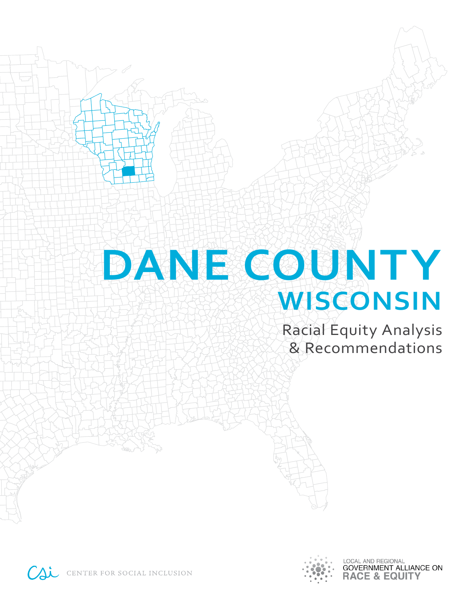# **DANE COUNTY WISCONSIN**

Racial Equity Analysis & Recommendations



LOCAL AND REGIONAL **GOVERNMENT ALLIANCE ON RACE & EQUITY** 

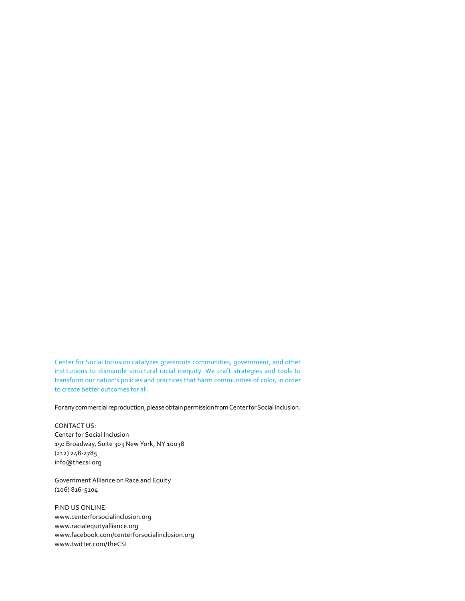Center for Social Inclusion catalyzes grassroots communities, government, and other institutions to dismantle structural racial inequity. We craft strategies and tools to transform our nation's policies and practices that harm communities of color, in order to create better outcomes for all.

For any commercial reproduction, please obtain permission from Center for Social Inclusion.

CONTACT US: Center for Social Inclusion 150 Broadway, Suite 303 New York, NY 10038 (212) 248-2785 info@thecsi.org

Government Alliance on Race and Equity (206) 816-5104

FIND US ONLINE: www.centerforsocialinclusion.org www.racialequityalliance.org www.facebook.com/centerforsocialinclusion.org www.twitter.com/theCSI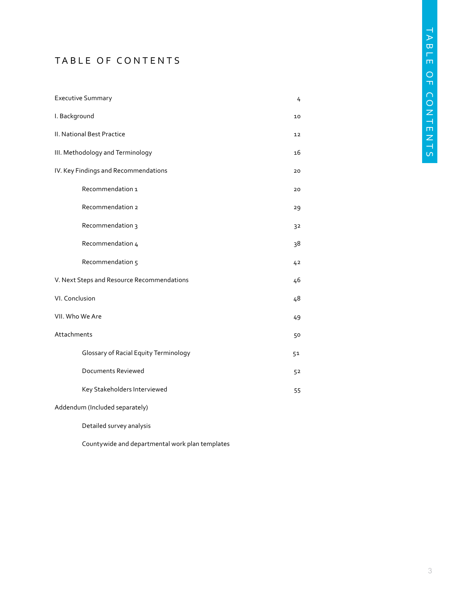# TABLE OF CONTENTS

| <b>Executive Summary</b>                   | 4  |
|--------------------------------------------|----|
| I. Background                              |    |
| II. National Best Practice                 | 12 |
| III. Methodology and Terminology           |    |
| IV. Key Findings and Recommendations       |    |
| Recommendation 1                           | 20 |
| Recommendation 2                           | 29 |
| Recommendation 3                           | 32 |
| Recommendation 4                           | 38 |
| Recommendation 5                           | 42 |
| V. Next Steps and Resource Recommendations | 46 |
| VI. Conclusion                             | 48 |
| VII. Who We Are                            |    |
| Attachments                                | 50 |
| Glossary of Racial Equity Terminology      | 51 |
| <b>Documents Reviewed</b>                  | 52 |
| Key Stakeholders Interviewed               | 55 |
| Addendum (Included separately)             |    |
| Detailed survey analysis                   |    |

Countywide and departmental work plan templates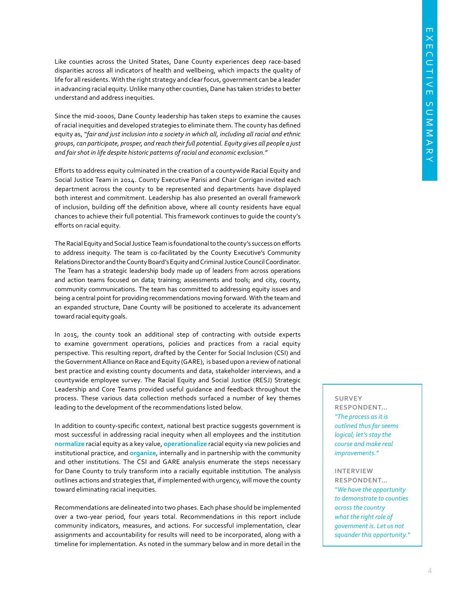Like counties across the United States, Dane County experiences deep race-based disparities across all indicators of health and wellbeing, which impacts the quality of life for all residents. With the right strategy and clear focus, government can be a leader in advancing racial equity. Unlike many other counties, Dane has taken strides to better understand and address inequities.

Since the mid-2000s, Dane County leadership has taken steps to examine the causes of racial inequities and developed strategies to eliminate them. The county has defined equity as, *"fair and just inclusion into a society in which all, including all racial and ethnic groups, can participate, prosper, and reach their full potential. Equity gives all people a just and fair shot in life despite historic patterns of racial and economic exclusion."* 

Efforts to address equity culminated in the creation of a countywide Racial Equity and Social Justice Team in 2014. County Executive Parisi and Chair Corrigan invited each department across the county to be represented and departments have displayed both interest and commitment. Leadership has also presented an overall framework of inclusion, building off the definition above, where all county residents have equal chances to achieve their full potential. This framework continues to guide the county's efforts on racial equity.

The Racial Equity and Social Justice Team is foundational to the county's success on efforts to address inequity. The team is co-facilitated by the County Executive's Community Relations Director and the County Board's Equity and Criminal Justice Council Coordinator. The Team has a strategic leadership body made up of leaders from across operations and action teams focused on data; training; assessments and tools; and city, county, community communications. The team has committed to addressing equity issues and being a central point for providing recommendations moving forward. With the team and an expanded structure, Dane County will be positioned to accelerate its advancement toward racial equity goals.

In 2015, the county took an additional step of contracting with outside experts to examine government operations, policies and practices from a racial equity perspective. This resulting report, drafted by the Center for Social Inclusion (CSI) and the Government Alliance on Race and Equity (GARE), is based upon a review of national best practice and existing county documents and data, stakeholder interviews, and a countywide employee survey. The Racial Equity and Social Justice (RESJ) Strategic Leadership and Core Teams provided useful guidance and feedback throughout the process. These various data collection methods surfaced a number of key themes leading to the development of the recommendations listed below.

In addition to county-specific context, national best practice suggests government is most successful in addressing racial inequity when all employees and the institution **normalize** racial equity as a key value, **operationalize** racial equity via new policies and institutional practice, and **organize**, internally and in partnership with the community and other institutions. The CSI and GARE analysis enumerate the steps necessary for Dane County to truly transform into a racially equitable institution. The analysis outlines actions and strategies that, if implemented with urgency, will move the county toward eliminating racial inequities.

Recommendations are delineated into two phases. Each phase should be implemented over a two-year period, four years total. Recommendations in this report include community indicators, measures, and actions. For successful implementation, clear assignments and accountability for results will need to be incorporated, along with a timeline for implementation. As noted in the summary below and in more detail in the

# **SURVEY**

**RESPONDENT…**  *"The process as it is outlined thus far seems logical; let's stay the course and make real improvements."*

#### **INTERVIEW**

**RESPONDENT…**  *"We have the opportunity to demonstrate to counties across the country what the right role of government is. Let us not squander this opportunity."*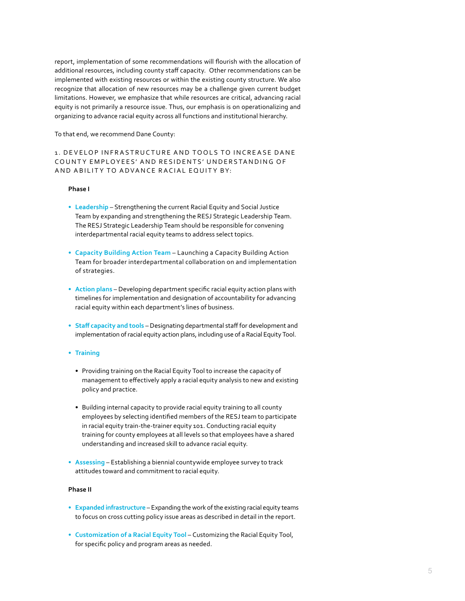report, implementation of some recommendations will flourish with the allocation of additional resources, including county staff capacity. Other recommendations can be implemented with existing resources or within the existing county structure. We also recognize that allocation of new resources may be a challenge given current budget limitations. However, we emphasize that while resources are critical, advancing racial equity is not primarily a resource issue. Thus, our emphasis is on operationalizing and organizing to advance racial equity across all functions and institutional hierarchy.

To that end, we recommend Dane County:

## 1. DEVELOP INFRASTRUCTURE AND TOOLS TO INCREASE DANE COUNTY EMPLOYEES' AND RESIDENTS' UNDERSTANDING OF AND ABILITY TO ADVANCE RACIAL EQUITY BY:

#### **Phase I**

- **• Leadership** Strengthening the current Racial Equity and Social Justice Team by expanding and strengthening the RESJ Strategic Leadership Team. The RESJ Strategic Leadership Team should be responsible for convening interdepartmental racial equity teams to address select topics.
- **• Capacity Building Action Team** Launching a Capacity Building Action Team for broader interdepartmental collaboration on and implementation of strategies.
- **• Action plans** Developing department specific racial equity action plans with timelines for implementation and designation of accountability for advancing racial equity within each department's lines of business.
- **• Staff capacity and tools**  Designating departmental staff for development and implementation of racial equity action plans, including use of a Racial Equity Tool.
- **• Training** 
	- Providing training on the Racial Equity Tool to increase the capacity of management to effectively apply a racial equity analysis to new and existing policy and practice.
	- Building internal capacity to provide racial equity training to all county employees by selecting identified members of the RESJ team to participate in racial equity train-the-trainer equity 101. Conducting racial equity training for county employees at all levels so that employees have a shared understanding and increased skill to advance racial equity.
- **• Assessing** Establishing a biennial countywide employee survey to track attitudes toward and commitment to racial equity.

#### **Phase II**

- **• Expanded infrastructure** Expanding the work of the existing racial equity teams to focus on cross cutting policy issue areas as described in detail in the report.
- **• Customization of a Racial Equity Tool** Customizing the Racial Equity Tool, for specific policy and program areas as needed.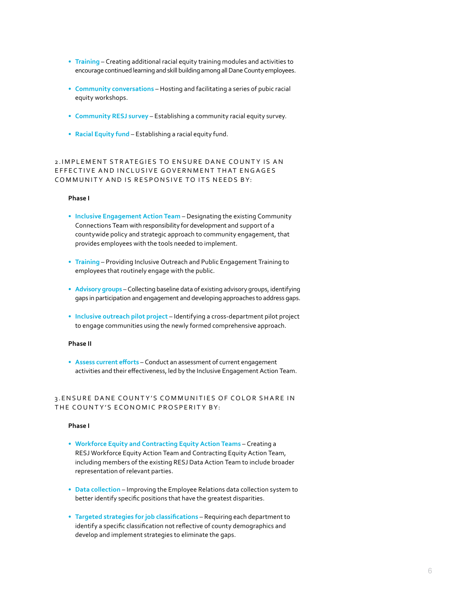- **• Training** Creating additional racial equity training modules and activities to encourage continued learning and skill building among all Dane County employees.
- **• Community conversations** Hosting and facilitating a series of pubic racial equity workshops.
- **• Community RESJ survey** Establishing a community racial equity survey.
- **• Racial Equity fund** Establishing a racial equity fund.

#### 2. IMPLEMENT STRATEGIES TO ENSURE DANE COUNTY IS AN EFFECTIVE AND INCLUSIVE GOVERNMENT THAT ENGAGES COMMUNITY AND IS RESPONSIVE TO ITS NEEDS BY:

#### **Phase I**

- **• Inclusive Engagement Action Team**  Designating the existing Community Connections Team with responsibility for development and support of a countywide policy and strategic approach to community engagement, that provides employees with the tools needed to implement.
- **• Training** Providing Inclusive Outreach and Public Engagement Training to employees that routinely engage with the public.
- **• Advisory groups** Collecting baseline data of existing advisory groups, identifying gaps in participation and engagement and developing approaches to address gaps.
- **• Inclusive outreach pilot project**  Identifying a cross-department pilot project to engage communities using the newly formed comprehensive approach.

#### **Phase II**

**• Assess current efforts** – Conduct an assessment of current engagement activities and their effectiveness, led by the Inclusive Engagement Action Team.

#### 3. ENSURE DANE COUNTY'S COMMUNITIES OF COLOR SHARE IN THE COUNTY'S ECONOMIC PROSPERITY BY:

#### **Phase I**

- **• Workforce Equity and Contracting Equity Action Teams** Creating a RESJ Workforce Equity Action Team and Contracting Equity Action Team, including members of the existing RESJ Data Action Team to include broader representation of relevant parties.
- **•** Data collection Improving the Employee Relations data collection system to better identify specific positions that have the greatest disparities.
- **• Targeted strategies for job classifications** Requiring each department to identify a specific classification not reflective of county demographics and develop and implement strategies to eliminate the gaps.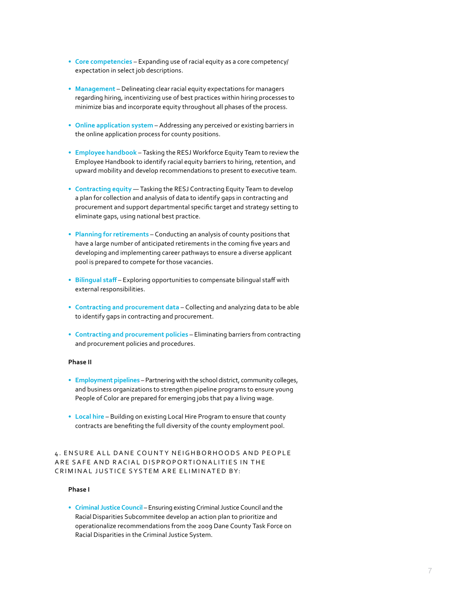- **• Core competencies** Expanding use of racial equity as a core competency/ expectation in select job descriptions.
- **• Management** Delineating clear racial equity expectations for managers regarding hiring, incentivizing use of best practices within hiring processes to minimize bias and incorporate equity throughout all phases of the process.
- **• Online application system** Addressing any perceived or existing barriers in the online application process for county positions.
- **• Employee handbook** Tasking the RESJ Workforce Equity Team to review the Employee Handbook to identify racial equity barriers to hiring, retention, and upward mobility and develop recommendations to present to executive team.
- **• Contracting equity** Tasking the RESJ Contracting Equity Team to develop a plan for collection and analysis of data to identify gaps in contracting and procurement and support departmental specific target and strategy setting to eliminate gaps, using national best practice.
- **• Planning for retirements** Conducting an analysis of county positions that have a large number of anticipated retirements in the coming five years and developing and implementing career pathways to ensure a diverse applicant pool is prepared to compete for those vacancies.
- **• Bilingual staff**  Exploring opportunities to compensate bilingual staff with external responsibilities.
- **• Contracting and procurement data** Collecting and analyzing data to be able to identify gaps in contracting and procurement.
- **• Contracting and procurement policies** Eliminating barriers from contracting and procurement policies and procedures.

#### **Phase II**

- **• Employment pipelines** Partnering with the school district, community colleges, and business organizations to strengthen pipeline programs to ensure young People of Color are prepared for emerging jobs that pay a living wage.
- **• Local hire** Building on existing Local Hire Program to ensure that county contracts are benefiting the full diversity of the county employment pool.

## 4. ENSURE ALL DANE COUNTY NEIGHBORHOODS AND PEOPLE ARE SAFE AND RACIAL DISPROPORTIONALITIES IN THE CRIMINAL JUSTICE SYSTEM ARE ELIMINATED BY:

#### **Phase I**

**• Criminal Justice Council** – Ensuring existing Criminal Justice Council and the Racial Disparities Subcommitee develop an action plan to prioritize and operationalize recommendations from the 2009 Dane County Task Force on Racial Disparities in the Criminal Justice System.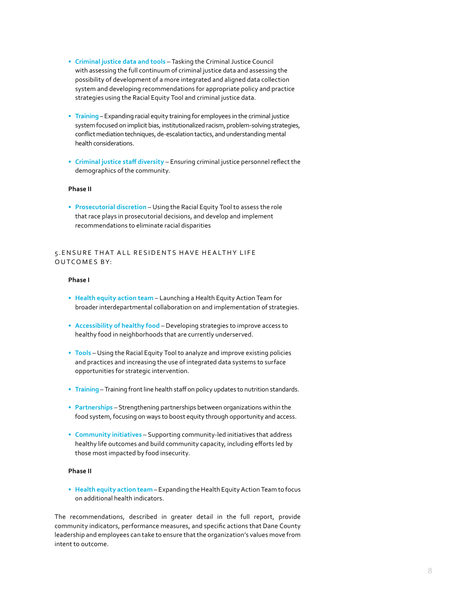- **• Criminal justice data and tools** Tasking the Criminal Justice Council with assessing the full continuum of criminal justice data and assessing the possibility of development of a more integrated and aligned data collection system and developing recommendations for appropriate policy and practice strategies using the Racial Equity Tool and criminal justice data.
- **• Training** Expanding racial equity training for employees in the criminal justice system focused on implicit bias, institutionalized racism, problem-solving strategies, conflict mediation techniques, de-escalation tactics, and understanding mental health considerations.
- **• Criminal justice staff diversity** Ensuring criminal justice personnel reflect the demographics of the community.

#### **Phase II**

**• Prosecutorial discretion** – Using the Racial Equity Tool to assess the role that race plays in prosecutorial decisions, and develop and implement recommendations to eliminate racial disparities

### 5. ENSURE THAT ALL RESIDENTS HAVE HEALTHY LIFE OUTCOMES BY:

#### **Phase I**

- **• Health equity action team** Launching a Health Equity Action Team for broader interdepartmental collaboration on and implementation of strategies.
- **• Accessibility of healthy food** Developing strategies to improve access to healthy food in neighborhoods that are currently underserved.
- **• Tools** Using the Racial Equity Tool to analyze and improve existing policies and practices and increasing the use of integrated data systems to surface opportunities for strategic intervention.
- **• Training** Training front line health staff on policy updates to nutrition standards.
- **• Partnerships** Strengthening partnerships between organizations within the food system, focusing on ways to boost equity through opportunity and access.
- **• Community initiatives** Supporting community-led initiatives that address healthy life outcomes and build community capacity, including efforts led by those most impacted by food insecurity.

#### **Phase II**

**• Health equity action team** – Expanding the Health Equity Action Team to focus on additional health indicators.

The recommendations, described in greater detail in the full report, provide community indicators, performance measures, and specific actions that Dane County leadership and employees can take to ensure that the organization's values move from intent to outcome.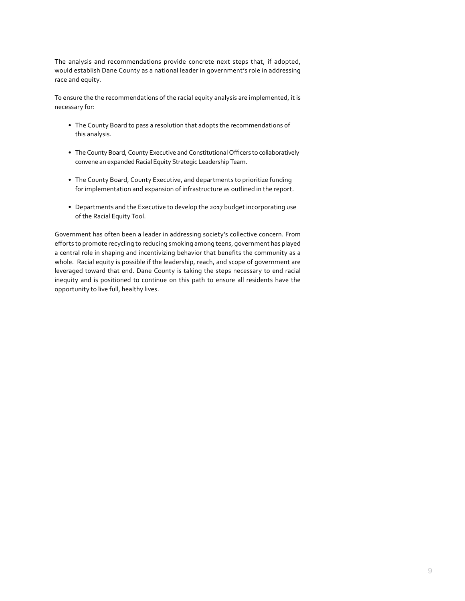The analysis and recommendations provide concrete next steps that, if adopted, would establish Dane County as a national leader in government's role in addressing race and equity.

To ensure the the recommendations of the racial equity analysis are implemented, it is necessary for:

- The County Board to pass a resolution that adopts the recommendations of this analysis.
- The County Board, County Executive and Constitutional Officers to collaboratively convene an expanded Racial Equity Strategic Leadership Team.
- The County Board, County Executive, and departments to prioritize funding for implementation and expansion of infrastructure as outlined in the report.
- Departments and the Executive to develop the 2017 budget incorporating use of the Racial Equity Tool.

Government has often been a leader in addressing society's collective concern. From efforts to promote recycling to reducing smoking among teens, government has played a central role in shaping and incentivizing behavior that benefits the community as a whole. Racial equity is possible if the leadership, reach, and scope of government are leveraged toward that end. Dane County is taking the steps necessary to end racial inequity and is positioned to continue on this path to ensure all residents have the opportunity to live full, healthy lives.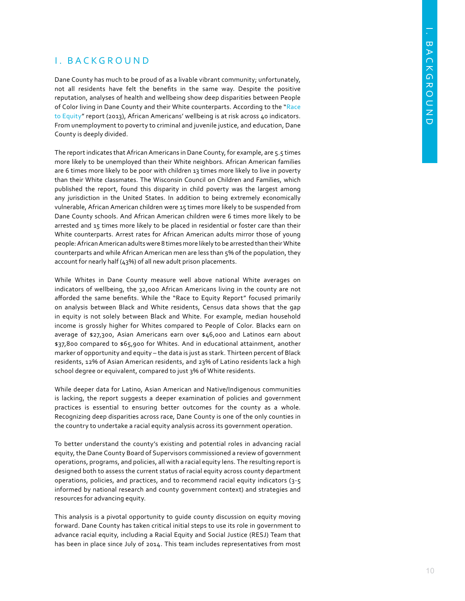# I. BACKGROUND

Dane County has much to be proud of as a livable vibrant community; unfortunately, not all residents have felt the benefits in the same way. Despite the positive reputation, analyses of health and wellbeing show deep disparities between People of Color living in Dane County and their White counterparts. According to the "[Race](http://racetoequity.net/dev/wp-content/uploads/WCCF-R2E-Report.pdf) [to Equity"](http://racetoequity.net/dev/wp-content/uploads/WCCF-R2E-Report.pdf) report (2013), African Americans' wellbeing is at risk across 40 indicators. From unemployment to poverty to criminal and juvenile justice, and education, Dane County is deeply divided.

The report indicates that African Americans in Dane County, for example, are 5.5 times more likely to be unemployed than their White neighbors. African American families are 6 times more likely to be poor with children 13 times more likely to live in poverty than their White classmates. The Wisconsin Council on Children and Families, which published the report, found this disparity in child poverty was the largest among any jurisdiction in the United States. In addition to being extremely economically vulnerable, African American children were 15 times more likely to be suspended from Dane County schools. And African American children were 6 times more likely to be arrested and 15 times more likely to be placed in residential or foster care than their White counterparts. Arrest rates for African American adults mirror those of young people: African American adults were 8 times more likely to be arrested than their White counterparts and while African American men are less than 5% of the population, they account for nearly half (43%) of all new adult prison placements.

While Whites in Dane County measure well above national White averages on indicators of wellbeing, the 32,000 African Americans living in the county are not afforded the same benefits. While the "Race to Equity Report" focused primarily on analysis between Black and White residents, Census data shows that the gap in equity is not solely between Black and White. For example, median household income is grossly higher for Whites compared to People of Color. Blacks earn on average of \$27,300, Asian Americans earn over \$46,000 and Latinos earn about \$37,800 compared to \$65,900 for Whites. And in educational attainment, another marker of opportunity and equity – the data is just as stark. Thirteen percent of Black residents, 12% of Asian American residents, and 23% of Latino residents lack a high school degree or equivalent, compared to just 3% of White residents.

While deeper data for Latino, Asian American and Native/Indigenous communities is lacking, the report suggests a deeper examination of policies and government practices is essential to ensuring better outcomes for the county as a whole. Recognizing deep disparities across race, Dane County is one of the only counties in the country to undertake a racial equity analysis across its government operation.

To better understand the county's existing and potential roles in advancing racial equity, the Dane County Board of Supervisors commissioned a review of government operations, programs, and policies, all with a racial equity lens. The resulting report is designed both to assess the current status of racial equity across county department operations, policies, and practices, and to recommend racial equity indicators (3-5 informed by national research and county government context) and strategies and resources for advancing equity.

This analysis is a pivotal opportunity to guide county discussion on equity moving forward. Dane County has taken critical initial steps to use its role in government to advance racial equity, including a Racial Equity and Social Justice (RESJ) Team that has been in place since July of 2014. This team includes representatives from most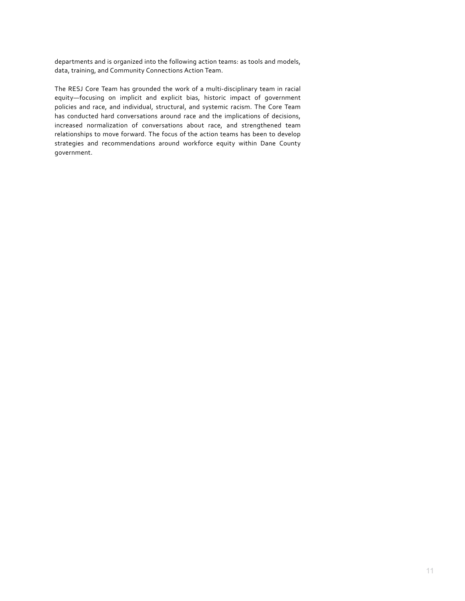departments and is organized into the following action teams: as tools and models, data, training, and Community Connections Action Team.

The RESJ Core Team has grounded the work of a multi-disciplinary team in racial equity—focusing on implicit and explicit bias, historic impact of government policies and race, and individual, structural, and systemic racism. The Core Team has conducted hard conversations around race and the implications of decisions, increased normalization of conversations about race, and strengthened team relationships to move forward. The focus of the action teams has been to develop strategies and recommendations around workforce equity within Dane County government.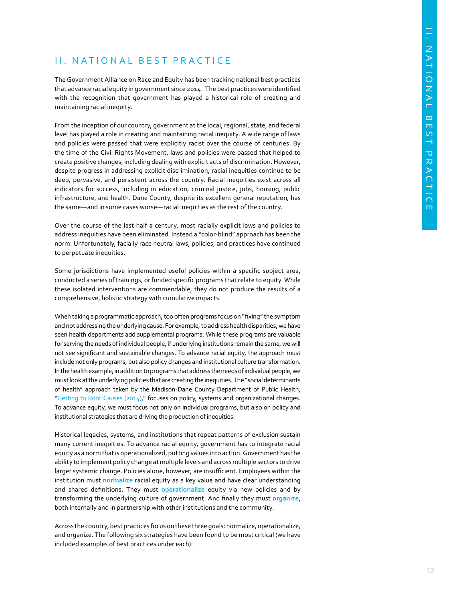# II. NATIONAL BEST PRACTICE

The Government Alliance on Race and Equity has been tracking national best practices that advance racial equity in government since 2014. The best practices were identified with the recognition that government has played a historical role of creating and maintaining racial inequity.

From the inception of our country, government at the local, regional, state, and federal level has played a role in creating and maintaining racial inequity. A wide range of laws and policies were passed that were explicitly racist over the course of centuries. By the time of the Civil Rights Movement, laws and policies were passed that helped to create positive changes, including dealing with explicit acts of discrimination. However, despite progress in addressing explicit discrimination, racial inequities continue to be deep, pervasive, and persistent across the country. Racial inequities exist across all indicators for success, including in education, criminal justice, jobs, housing, public infrastructure, and health. Dane County, despite its excellent general reputation, has the same—and in some cases worse—racial inequities as the rest of the country.

Over the course of the last half a century, most racially explicit laws and policies to address inequities have been eliminated. Instead a "color-blind" approach has been the norm. Unfortunately, facially race neutral laws, policies, and practices have continued to perpetuate inequities.

Some jurisdictions have implemented useful policies within a specific subject area, conducted a series of trainings, or funded specific programs that relate to equity. While these isolated interventions are commendable, they do not produce the results of a comprehensive, holistic strategy with cumulative impacts.

When taking a programmatic approach, too often programs focus on "fixing" the symptom and not addressing the underlying cause. For example, to address health disparities, we have seen health departments add supplemental programs. While these programs are valuable for serving the needs of individual people, if underlying institutions remain the same, we will not see significant and sustainable changes. To advance racial equity, the approach must include not only programs, but also policy changes and institutional culture transformation. In the health example, in addition to programs that address the needs of individual people, we must look at the underlying policies that are creating the inequities. The "social determinants of health" approach taken by the Madison-Dane County Department of Public Health, "[Getting to Root Causes \(2014\),](https://www.publichealthmdc.com/documents/NewDirections.pdf)" focuses on policy, systems and organizational changes. To advance equity, we must focus not only on individual programs, but also on policy and institutional strategies that are driving the production of inequities.

Historical legacies, systems, and institutions that repeat patterns of exclusion sustain many current inequities. To advance racial equity, government has to integrate racial equity as a norm that is operationalized, putting values into action. Government has the ability to implement policy change at multiple levels and across multiple sectors to drive larger systemic change. Policies alone, however, are insufficient. Employees within the institution must **normalize** racial equity as a key value and have clear understanding and shared definitions. They must **operationalize** equity via new policies and by transforming the underlying culture of government. And finally they must **organize**, both internally and in partnership with other institutions and the community.

Across the country, best practices focus on these three goals: normalize, operationalize, and organize. The following six strategies have been found to be most critical (we have included examples of best practices under each):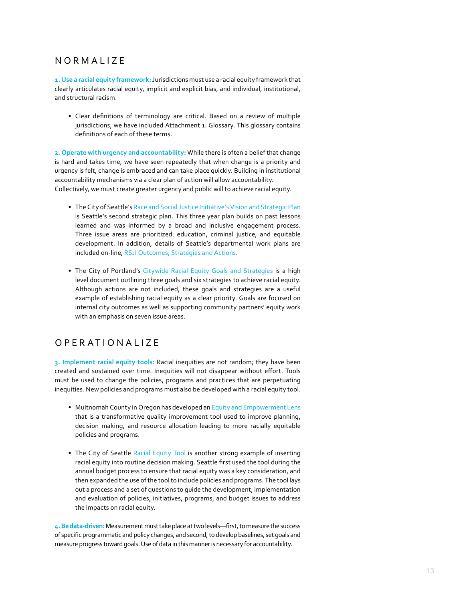# NORMALIZE

**1. Use a racial equity framework:** Jurisdictions must use a racial equity framework that clearly articulates racial equity, implicit and explicit bias, and individual, institutional, and structural racism.

• Clear definitions of terminology are critical. Based on a review of multiple jurisdictions, we have included Attachment 1: Glossary. This glossary contains definitions of each of these terms.

**2. Operate with urgency and accountability:** While there is often a belief that change is hard and takes time, we have seen repeatedly that when change is a priority and urgency is felt, change is embraced and can take place quickly. Building in institutional accountability mechanisms via a clear plan of action will allow accountability. Collectively, we must create greater urgency and public will to achieve racial equity.

- The City of Seattle's [Race and Social Justice Initiative's Vision and Strategic Plan](http://www.seattle.gov/Documents/Departments/RSJI/rsji-2015-2017-plan.pdf) is Seattle's second strategic plan. This three year plan builds on past lessons learned and was informed by a broad and inclusive engagement process. Three issue areas are prioritized: education, criminal justice, and equitable development. In addition, details of Seattle's departmental work plans are included on-line, [RSJI Outcomes, Strategies and Actions.](http://web6.seattle.gov/fas/rosa/ROSAWebhome.aspx)
- The City of Portland's [Citywide Racial Equity Goals and Strategies](https://www.portlandoregon.gov/oehr/article/537589) is a high level document outlining three goals and six strategies to achieve racial equity. Although actions are not included, these goals and strategies are a useful example of establishing racial equity as a clear priority. Goals are focused on internal city outcomes as well as supporting community partners' equity work with an emphasis on seven issue areas.

# OPERATIONALIZE

**3. Implement racial equity tools:** Racial inequities are not random; they have been created and sustained over time. Inequities will not disappear without effort. Tools must be used to change the policies, programs and practices that are perpetuating inequities. New policies and programs must also be developed with a racial equity tool.

- Multnomah County in Oregon has developed an Equity and Empowerment Lens that is a transformative quality improvement tool used to improve planning, decision making, and resource allocation leading to more racially equitable policies and programs.
- The City of Seattle [Racial Equity Tool](http://www.seattle.gov/Documents/Departments/RSJI/RacialEquityToolkit_FINAL_August2012.pdf) is another strong example of inserting racial equity into routine decision making. Seattle first used the tool during the annual budget process to ensure that racial equity was a key consideration, and then expanded the use of the tool to include policies and programs. The tool lays out a process and a set of questions to guide the development, implementation and evaluation of policies, initiatives, programs, and budget issues to address the impacts on racial equity.

**4. Be data-driven:** Measurement must take place at two levels—first, to measure the success of specific programmatic and policy changes, and second, to develop baselines, set goals and measure progress toward goals. Use of data in this manner is necessary for accountability.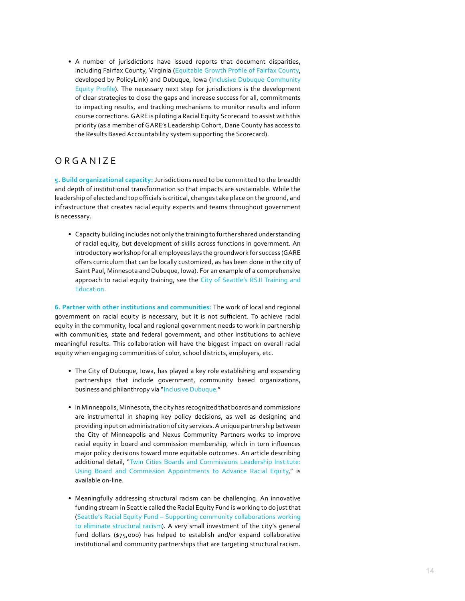• A number of jurisdictions have issued reports that document disparities, including Fairfax County, Virginia ([Equitable Growth Profile of Fairfax County](http://www.policylink.org/sites/default/files/Fairfax_Summary_16June2015_Final.pdf), developed by PolicyLink) and Dubuque, Iowa [\(Inclusive Dubuque Community](http://inclusivedbq.org/community-equity-profile/) [Equity Profile](http://inclusivedbq.org/community-equity-profile/)). The necessary next step for jurisdictions is the development of clear strategies to close the gaps and increase success for all, commitments to impacting results, and tracking mechanisms to monitor results and inform course corrections. GARE is piloting a Racial Equity Scorecard to assist with this priority (as a member of GARE's Leadership Cohort, Dane County has access to the Results Based Accountability system supporting the Scorecard).

# **ORGANIZE**

**5. Build organizational capacity:** Jurisdictions need to be committed to the breadth and depth of institutional transformation so that impacts are sustainable. While the leadership of elected and top officials is critical, changes take place on the ground, and infrastructure that creates racial equity experts and teams throughout government is necessary.

• Capacity building includes not only the training to further shared understanding of racial equity, but development of skills across functions in government. An introductory workshop for all employees lays the groundwork for success (GARE offers curriculum that can be locally customized, as has been done in the city of Saint Paul, Minnesota and Dubuque, Iowa). For an example of a comprehensive approach to racial equity training, see the [City of Seattle's RSJI Training and](http://www.seattle.gov/Documents/Departments/RSJI/RSJI-Training-and-Education.pdf) [Education](http://www.seattle.gov/Documents/Departments/RSJI/RSJI-Training-and-Education.pdf).

**6. Partner with other institutions and communities:** The work of local and regional government on racial equity is necessary, but it is not sufficient. To achieve racial equity in the community, local and regional government needs to work in partnership with communities, state and federal government, and other institutions to achieve meaningful results. This collaboration will have the biggest impact on overall racial equity when engaging communities of color, school districts, employers, etc.

- The City of Dubuque, Iowa, has played a key role establishing and expanding partnerships that include government, community based organizations, business and philanthropy via "[Inclusive Dubuque.](http://inclusivedbq.org/about-us/)"
- In Minneapolis, Minnesota, the city has recognized that boards and commissions are instrumental in shaping key policy decisions, as well as designing and providing input on administration of city services. A unique partnership between the City of Minneapolis and Nexus Community Partners works to improve racial equity in board and commission membership, which in turn influences major policy decisions toward more equitable outcomes. An article describing additional detail, "[Twin Cities Boards and Commissions Leadership Institute:](http://racialequityalliance.org/2015/08/18/the-twin-cities-boards-and-commissions-leadership-institute-using-board-and-commission-appointments-to-advance-racial-equity/)  [Using Board and Commission Appointments to Advance Racial Equity](http://racialequityalliance.org/2015/08/18/the-twin-cities-boards-and-commissions-leadership-institute-using-board-and-commission-appointments-to-advance-racial-equity/)," is available on-line.
- Meaningfully addressing structural racism can be challenging. An innovative funding stream in Seattle called the Racial Equity Fund is working to do just that ([Seattle's Racial Equity Fund – Supporting community collaborations working](http://racialequityalliance.org/2015/04/12/seattles-racial-equity-fund-supporting-community-collaborations-working-to-eliminate-structural-racism/)  [to eliminate structural racism](http://racialequityalliance.org/2015/04/12/seattles-racial-equity-fund-supporting-community-collaborations-working-to-eliminate-structural-racism/)). A very small investment of the city's general fund dollars (\$75,000) has helped to establish and/or expand collaborative institutional and community partnerships that are targeting structural racism.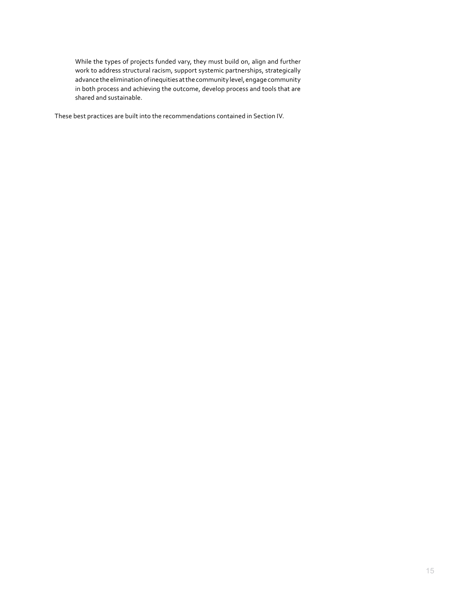While the types of projects funded vary, they must build on, align and further work to address structural racism, support systemic partnerships, strategically advance the elimination of inequities at the community level, engage community in both process and achieving the outcome, develop process and tools that are shared and sustainable.

These best practices are built into the recommendations contained in Section IV.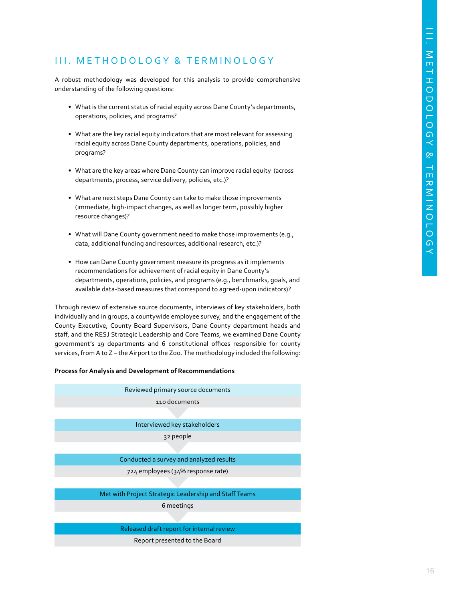# III. METHODOLOGY & TERMINOLOGY

A robust methodology was developed for this analysis to provide comprehensive understanding of the following questions:

- What is the current status of racial equity across Dane County's departments, operations, policies, and programs?
- What are the key racial equity indicators that are most relevant for assessing racial equity across Dane County departments, operations, policies, and programs?
- What are the key areas where Dane County can improve racial equity (across departments, process, service delivery, policies, etc.)?
- What are next steps Dane County can take to make those improvements (immediate, high-impact changes, as well as longer term, possibly higher resource changes)?
- What will Dane County government need to make those improvements (e.g., data, additional funding and resources, additional research, etc.)?
- How can Dane County government measure its progress as it implements recommendations for achievement of racial equity in Dane County's departments, operations, policies, and programs (e.g., benchmarks, goals, and available data-based measures that correspond to agreed-upon indicators)?

Through review of extensive source documents, interviews of key stakeholders, both individually and in groups, a countywide employee survey, and the engagement of the County Executive, County Board Supervisors, Dane County department heads and staff, and the RESJ Strategic Leadership and Core Teams, we examined Dane County government's 19 departments and 6 constitutional offices responsible for county services, from A to Z – the Airport to the Zoo. The methodology included the following:

#### **Process for Analysis and Development of Recommendations**

| Reviewed primary source documents                     |
|-------------------------------------------------------|
| 110 documents                                         |
|                                                       |
| Interviewed key stakeholders                          |
| 32 people                                             |
|                                                       |
| Conducted a survey and analyzed results               |
| 724 employees (34% response rate)                     |
|                                                       |
| Met with Project Strategic Leadership and Staff Teams |
| 6 meetings                                            |
|                                                       |

Released draft report for internal review

Report presented to the Board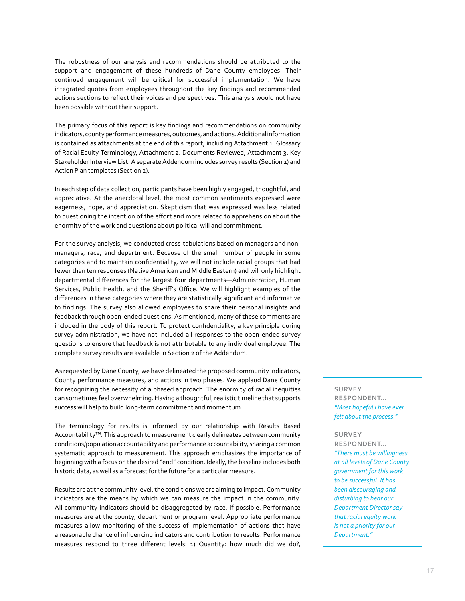The robustness of our analysis and recommendations should be attributed to the support and engagement of these hundreds of Dane County employees. Their continued engagement will be critical for successful implementation. We have integrated quotes from employees throughout the key findings and recommended actions sections to reflect their voices and perspectives. This analysis would not have been possible without their support.

The primary focus of this report is key findings and recommendations on community indicators, county performance measures, outcomes, and actions. Additional information is contained as attachments at the end of this report, including Attachment 1. Glossary of Racial Equity Terminology, Attachment 2. Documents Reviewed, Attachment 3. Key Stakeholder Interview List. A separate Addendum includes survey results (Section 1) and Action Plan templates (Section 2).

In each step of data collection, participants have been highly engaged, thoughtful, and appreciative. At the anecdotal level, the most common sentiments expressed were eagerness, hope, and appreciation. Skepticism that was expressed was less related to questioning the intention of the effort and more related to apprehension about the enormity of the work and questions about political will and commitment.

For the survey analysis, we conducted cross-tabulations based on managers and nonmanagers, race, and department. Because of the small number of people in some categories and to maintain confidentiality, we will not include racial groups that had fewer than ten responses (Native American and Middle Eastern) and will only highlight departmental differences for the largest four departments—Administration, Human Services, Public Health, and the Sheriff's Office. We will highlight examples of the differences in these categories where they are statistically significant and informative to findings. The survey also allowed employees to share their personal insights and feedback through open-ended questions. As mentioned, many of these comments are included in the body of this report. To protect confidentiality, a key principle during survey administration, we have not included all responses to the open-ended survey questions to ensure that feedback is not attributable to any individual employee. The complete survey results are available in Section 2 of the Addendum.

As requested by Dane County, we have delineated the proposed community indicators, County performance measures, and actions in two phases. We applaud Dane County for recognizing the necessity of a phased approach. The enormity of racial inequities can sometimes feel overwhelming. Having a thoughtful, realistic timeline that supports success will help to build long-term commitment and momentum.

The terminology for results is informed by our relationship with Results Based Accountability™. This approach to measurement clearly delineates between community conditions/population accountability and performance accountability, sharing a common systematic approach to measurement. This approach emphasizes the importance of beginning with a focus on the desired "end" condition. Ideally, the baseline includes both historic data, as well as a forecast for the future for a particular measure.

Results are at the community level, the conditions we are aiming to impact. Community indicators are the means by which we can measure the impact in the community. All community indicators should be disaggregated by race, if possible. Performance measures are at the county, department or program level. Appropriate performance measures allow monitoring of the success of implementation of actions that have a reasonable chance of influencing indicators and contribution to results. Performance measures respond to three different levels: 1) Quantity: how much did we do?,

**SURVEY RESPONDENT…**  *"Most hopeful I have ever felt about the process."*

#### **SURVEY**

**RESPONDENT…**  *"There must be willingness at all levels of Dane County government for this work to be successful. It has been discouraging and disturbing to hear our Department Director say that racial equity work is not a priority for our Department."*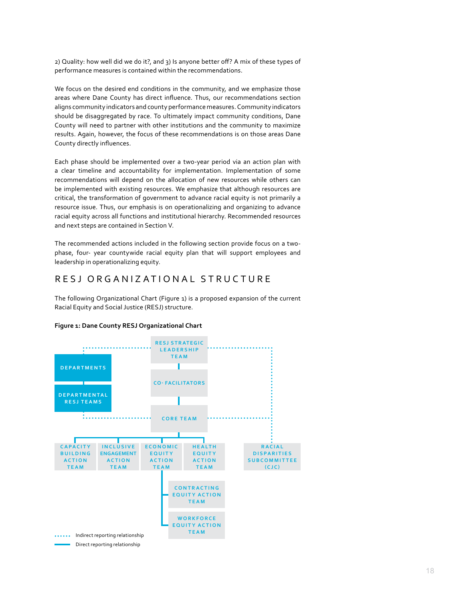2) Quality: how well did we do it?, and 3) Is anyone better off? A mix of these types of performance measures is contained within the recommendations.

We focus on the desired end conditions in the community, and we emphasize those areas where Dane County has direct influence. Thus, our recommendations section aligns community indicators and county performance measures. Community indicators should be disaggregated by race. To ultimately impact community conditions, Dane County will need to partner with other institutions and the community to maximize results. Again, however, the focus of these recommendations is on those areas Dane County directly influences.

Each phase should be implemented over a two-year period via an action plan with a clear timeline and accountability for implementation. Implementation of some recommendations will depend on the allocation of new resources while others can be implemented with existing resources. We emphasize that although resources are critical, the transformation of government to advance racial equity is not primarily a resource issue. Thus, our emphasis is on operationalizing and organizing to advance racial equity across all functions and institutional hierarchy. Recommended resources and next steps are contained in Section V.

The recommended actions included in the following section provide focus on a twophase, four- year countywide racial equity plan that will support employees and leadership in operationalizing equity.

# RESJ ORGANIZATIONAL STRUCTURE

The following Organizational Chart (Figure 1) is a proposed expansion of the current Racial Equity and Social Justice (RESJ) structure.



## **Figure 1: Dane County RESJ Organizational Chart**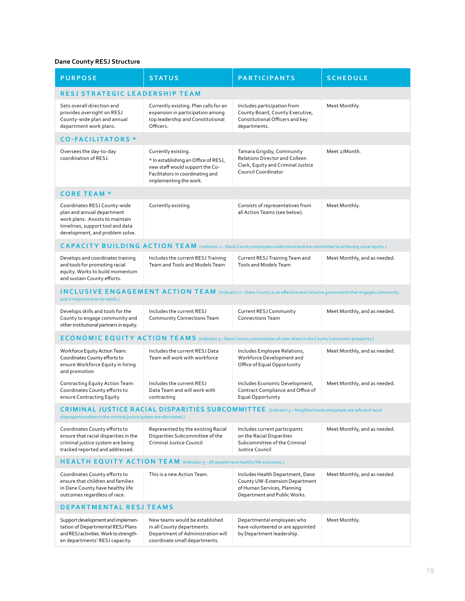## **Dane County RESJ Structure**

| <b>PURPOSE</b>                                                                                                                                                                         | <b>STATUS</b>                                                                                                                                                | <b>PARTICIPANTS</b>                                                                                                               | <b>SCHEDULE</b>              |  |  |  |
|----------------------------------------------------------------------------------------------------------------------------------------------------------------------------------------|--------------------------------------------------------------------------------------------------------------------------------------------------------------|-----------------------------------------------------------------------------------------------------------------------------------|------------------------------|--|--|--|
| <b>RESJ STRATEGIC LEADERSHIP TEAM</b>                                                                                                                                                  |                                                                                                                                                              |                                                                                                                                   |                              |  |  |  |
| Sets overall direction and<br>provides oversight on RESJ<br>County-wide plan and annual<br>department work plans.                                                                      | Currently existing. Plan calls for an<br>expansion in participation among<br>top leadership and Constitutional<br>Officers.                                  | Includes participation from<br>County Board, County Executive,<br>Constitutional Officers and key<br>departments.                 | Meet Monthly.                |  |  |  |
| <b>CO-FACILITATORS *</b>                                                                                                                                                               |                                                                                                                                                              |                                                                                                                                   |                              |  |  |  |
| Oversees the day-to-day<br>coordination of RESJ.                                                                                                                                       | Currently existing.<br>* In establishing an Office of RESJ,<br>new staff would support the Co-<br>Facilitators in coordinating and<br>implementing the work. | Tamara Grigsby, Community<br>Relations Director and Colleen<br>Clark, Equity and Criminal Justice<br>Council Coordinator          | Meet 2/Month.                |  |  |  |
| <b>CORE TEAM *</b>                                                                                                                                                                     |                                                                                                                                                              |                                                                                                                                   |                              |  |  |  |
| Coordinates RESJ County-wide<br>plan and annual department<br>work plans. Assists to maintain<br>timelines, support tool and data<br>development, and problem solve.                   | Currently existing.                                                                                                                                          | Consists of representatives from<br>all Action Teams (see below).                                                                 | Meet Monthly.                |  |  |  |
|                                                                                                                                                                                        | CAPACITY BUILDING ACTION TEAM (Indicator 1 - Dane County employees understand and are committed to achieving racial equity.)                                 |                                                                                                                                   |                              |  |  |  |
| Develops and coordinates training<br>and tools for promoting racial<br>equity. Works to build momentum<br>and sustain County efforts.                                                  | Includes the current RESJ Training<br>Team and Tools and Models Team                                                                                         | Current RESJ Training Team and<br><b>Tools and Models Team</b>                                                                    | Meet Monthly, and as needed. |  |  |  |
| <b>INCLUSIVE ENGAGEMENT ACTION TEAM</b> (Indicator 2 – Dane County is an effective and inclusive government that engages community<br>and is responsive to its needs.)                 |                                                                                                                                                              |                                                                                                                                   |                              |  |  |  |
| Develops skills and tools for the<br>County to engage community and<br>other institutional partners in equity.                                                                         | Includes the current RESJ<br>Community Connections Team                                                                                                      | Current RESJ Community<br><b>Connections Team</b>                                                                                 | Meet Monthly, and as needed. |  |  |  |
| <b>ECONOMIC EQUITY ACTION TEAMS</b> (Indicator 3-Dane County communities of color share in the County's economic prosperity.)                                                          |                                                                                                                                                              |                                                                                                                                   |                              |  |  |  |
| Workforce Equity Action Team:<br>Coordinates County efforts to<br>ensure Workforce Equity in hiring<br>and promotion                                                                   | Includes the current RESJ Data<br>Team will work with workforce                                                                                              | Includes Employee Relations,<br>Workforce Development and<br>Office of Equal Opportunity                                          | Meet Monthly, and as needed. |  |  |  |
| Contracting Equity Action Team:<br>Coordinates County efforts to<br>ensure Contracting Equity                                                                                          | Includes the current RESJ<br>Data Team and will work with<br>contracting                                                                                     | Includes Economic Development,<br>Contract Compliance and Office of<br>Equal Opportunity                                          | Meet Monthly, and as needed. |  |  |  |
| $CRIMINAL JUSTICE RACIAL DISPARITIES SUBCOMMITTEE$ (Indicator 4 – Neighborhoods and people are safe and racial<br>disproportionalities in the criminal justice system are eliminated.) |                                                                                                                                                              |                                                                                                                                   |                              |  |  |  |
| Coordinates County efforts to<br>ensure that racial disparities in the<br>criminal justice system are being<br>tracked reported and addressed.                                         | Represented by the existing Racial<br>Disparities Subcommittee of the<br>Criminal Justice Council                                                            | Includes current participants<br>on the Racial Disparities<br>Subcommittee of the Criminal<br>Justice Council                     | Meet Monthly, and as needed. |  |  |  |
| HEALTH EQUITY ACTION TEAM (Indicator 5 - All people have healthy life outcomes.)                                                                                                       |                                                                                                                                                              |                                                                                                                                   |                              |  |  |  |
| Coordinates County efforts to<br>ensure that children and families<br>in Dane County have healthy life<br>outcomes regardless of race.                                                 | This is a new Action Team.                                                                                                                                   | Includes Health Department, Dane<br>County UW-Extension Department<br>of Human Services, Planning<br>Department and Public Works. | Meet Monthly, and as needed. |  |  |  |
| <b>DEPARTMENTAL RESJ TEAMS</b>                                                                                                                                                         |                                                                                                                                                              |                                                                                                                                   |                              |  |  |  |
| Support development and implemen-<br>tation of Departmental RESJ Plans<br>and RESJ activities. Work to strength-<br>en departments' RESJ capacity.                                     | New teams would be established<br>in all County departments.<br>Department of Administration will<br>coordinate small departments.                           | Departmental employees who<br>have volunteered or are appointed<br>by Department leadership.                                      | Meet Monthly.                |  |  |  |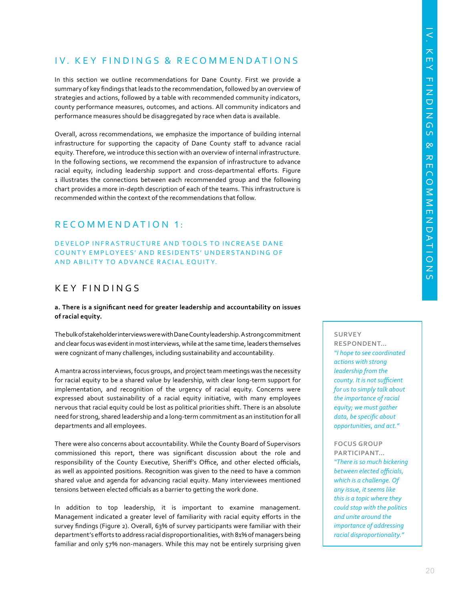# IV. KEY FINDINGS & RECOMMENDATIONS

In this section we outline recommendations for Dane County. First we provide a summary of key findings that leads to the recommendation, followed by an overview of strategies and actions, followed by a table with recommended community indicators, county performance measures, outcomes, and actions. All community indicators and performance measures should be disaggregated by race when data is available.

Overall, across recommendations, we emphasize the importance of building internal infrastructure for supporting the capacity of Dane County staff to advance racial equity. Therefore, we introduce this section with an overview of internal infrastructure. In the following sections, we recommend the expansion of infrastructure to advance racial equity, including leadership support and cross-departmental efforts. Figure 1 illustrates the connections between each recommended group and the following chart provides a more in-depth description of each of the teams. This infrastructure is recommended within the context of the recommendations that follow.

# RECOMMENDATION 1:

## DEVELOP INFRASTRUCTURE AND TOOLS TO INCREASE DANE COUNTY EMPLOYEES' AND RESIDENTS' UNDERSTANDING OF AND ABILITY TO ADVANCE RACIAL EQUITY.

# KEY FINDINGS

#### **a. There is a significant need for greater leadership and accountability on issues of racial equity.**

The bulk of stakeholder interviews were with Dane County leadership. A strong commitment and clear focus was evident in most interviews, while at the same time, leaders themselves were cognizant of many challenges, including sustainability and accountability.

A mantra across interviews, focus groups, and project team meetings was the necessity for racial equity to be a shared value by leadership, with clear long-term support for implementation, and recognition of the urgency of racial equity. Concerns were expressed about sustainability of a racial equity initiative, with many employees nervous that racial equity could be lost as political priorities shift. There is an absolute need for strong, shared leadership and a long-term commitment as an institution for all departments and all employees.

There were also concerns about accountability. While the County Board of Supervisors commissioned this report, there was significant discussion about the role and responsibility of the County Executive, Sheriff's Office, and other elected officials, as well as appointed positions. Recognition was given to the need to have a common shared value and agenda for advancing racial equity. Many interviewees mentioned tensions between elected officials as a barrier to getting the work done.

In addition to top leadership, it is important to examine management. Management indicated a greater level of familiarity with racial equity efforts in the survey findings (Figure 2). Overall, 63% of survey participants were familiar with their department's efforts to address racial disproportionalities, with 81% of managers being familiar and only 57% non-managers. While this may not be entirely surprising given

#### **SURVEY**

**RESPONDENT…**  *"I hope to see coordinated actions with strong leadership from the county. It is not sufficient for us to simply talk about the importance of racial equity; we must gather data, be specific about opportunities, and act."*

**FOCUS GROUP** 

**PARTICIPANT…**  *"There is so much bickering between elected officials, which is a challenge. Of any issue, it seems like this is a topic where they could stop with the politics and unite around the importance of addressing racial disproportionality."*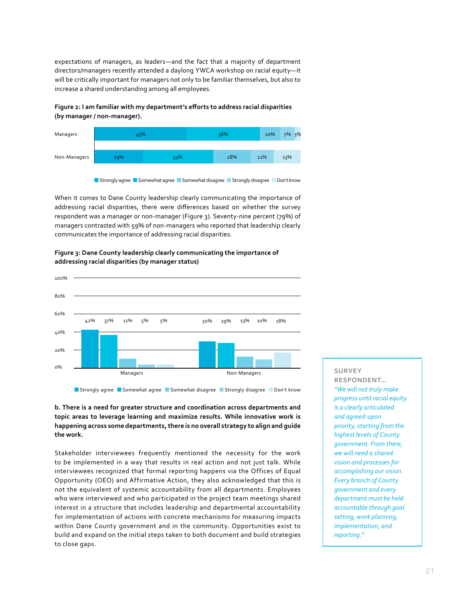expectations of managers, as leaders—and the fact that a majority of department directors/managers recently attended a daylong YWCA workshop on racial equity—it will be critically important for managers not only to be familiar themselves, but also to increase a shared understanding among all employees.

## **Figure 2: I am familiar with my department's efforts to address racial disparities (by manager / non-manager).**



**Strongly agree G**Somewhat agree GSomewhat disagree GStrongly disagree GDon't know

When it comes to Dane County leadership clearly communicating the importance of addressing racial disparities, there were differences based on whether the survey respondent was a manager or non-manager (Figure 3). Seventy-nine percent (79%) of managers contrasted with 59% of non-managers who reported that leadership clearly communicates the importance of addressing racial disparities.



#### **Figure 3: Dane County leadership clearly communicating the importance of addressing racial disparities (by manager status)**

**Strongly agree G**Somewhat agree GSomewhat disagree GStrongly disagree GDon't know

**b. There is a need for greater structure and coordination across departments and topic areas to leverage learning and maximize results. While innovative work is happening across some departments, there is no overall strategy to align and guide the work.**

Stakeholder interviewees frequently mentioned the necessity for the work to be implemented in a way that results in real action and not just talk. While interviewees recognized that formal reporting happens via the Offices of Equal Opportunity (OEO) and Affirmative Action, they also acknowledged that this is not the equivalent of systemic accountability from all departments. Employees who were interviewed and who participated in the project team meetings shared interest in a structure that includes leadership and departmental accountability for implementation of actions with concrete mechanisms for measuring impacts within Dane County government and in the community. Opportunities exist to build and expand on the initial steps taken to both document and build strategies to close gaps.

## **SURVEY RESPONDENT…**  *"We will not truly make progress until racial equity is a clearly articulated and agreed-upon priority, starting from the highest levels of County government. From there, we will need a shared vision and processes for accomplishing our vision. Every branch of County government and every department must be held accountable through goal setting, work planning, implementation, and reporting."*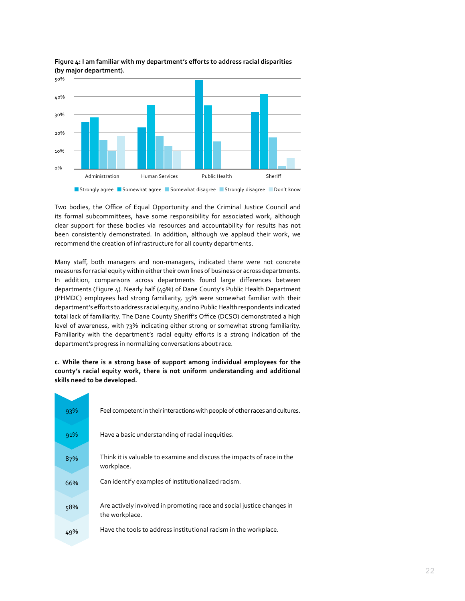

**Figure 4: I am familiar with my department's efforts to address racial disparities (by major department).**

**Strongly agree GSomewhat agree GSomewhat disagree GSS Strongly disagree GSO Don't know** 

Two bodies, the Office of Equal Opportunity and the Criminal Justice Council and its formal subcommittees, have some responsibility for associated work, although clear support for these bodies via resources and accountability for results has not been consistently demonstrated. In addition, although we applaud their work, we recommend the creation of infrastructure for all county departments.

Many staff, both managers and non-managers, indicated there were not concrete measures for racial equity within either their own lines of business or across departments. In addition, comparisons across departments found large differences between departments (Figure 4). Nearly half (49%) of Dane County's Public Health Department (PHMDC) employees had strong familiarity, 35% were somewhat familiar with their department's efforts to address racial equity, and no Public Health respondents indicated total lack of familiarity. The Dane County Sheriff's Office (DCSO) demonstrated a high level of awareness, with 73% indicating either strong or somewhat strong familiarity. Familiarity with the department's racial equity efforts is a strong indication of the department's progress in normalizing conversations about race.

**c. While there is a strong base of support among individual employees for the county's racial equity work, there is not uniform understanding and additional skills need to be developed.**

| 93% | Feel competent in their interactions with people of other races and cultures.           |
|-----|-----------------------------------------------------------------------------------------|
| 91% | Have a basic understanding of racial inequities.                                        |
| 87% | Think it is valuable to examine and discuss the impacts of race in the<br>workplace.    |
| 66% | Can identify examples of institutionalized racism.                                      |
| 58% | Are actively involved in promoting race and social justice changes in<br>the workplace. |
| 49% | Have the tools to address institutional racism in the workplace.                        |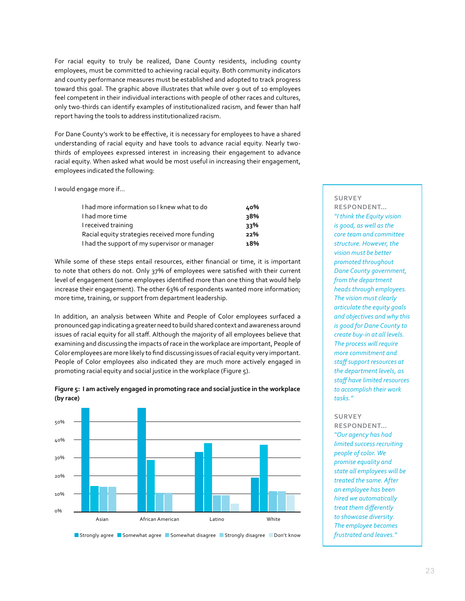For racial equity to truly be realized, Dane County residents, including county employees, must be committed to achieving racial equity. Both community indicators and county performance measures must be established and adopted to track progress toward this goal. The graphic above illustrates that while over 9 out of 10 employees feel competent in their individual interactions with people of other races and cultures, only two-thirds can identify examples of institutionalized racism, and fewer than half report having the tools to address institutionalized racism.

For Dane County's work to be effective, it is necessary for employees to have a shared understanding of racial equity and have tools to advance racial equity. Nearly twothirds of employees expressed interest in increasing their engagement to advance racial equity. When asked what would be most useful in increasing their engagement, employees indicated the following:

I would engage more if…

| I had more information so I knew what to do    | 40% |
|------------------------------------------------|-----|
| I had more time                                | २8% |
| I received training                            | 33% |
| Racial equity strategies received more funding | 22% |
| I had the support of my supervisor or manager  | 18% |

While some of these steps entail resources, either financial or time, it is important to note that others do not. Only 37% of employees were satisfied with their current level of engagement (some employees identified more than one thing that would help increase their engagement). The other 63% of respondents wanted more information; more time, training, or support from department leadership.

In addition, an analysis between White and People of Color employees surfaced a pronounced gap indicating a greater need to build shared context and awareness around issues of racial equity for all staff. Although the majority of all employees believe that examining and discussing the impacts of race in the workplace are important, People of Color employees are more likely to find discussing issues of racial equity very important. People of Color employees also indicated they are much more actively engaged in promoting racial equity and social justice in the workplace (Figure 5).



**Figure 5: I am actively engaged in promoting race and social justice in the workplace (by race)**

#### **Strongly agree GSomewhat agree GSomewhat disagree GSS Strongly disagree GSO Don't know**

#### **SURVEY**

**RESPONDENT…**  *"I think the Equity vision is good, as well as the core team and committee structure. However, the vision must be better promoted throughout Dane County government, from the department heads through employees. The vision must clearly articulate the equity goals and objectives and why this is good for Dane County to create buy-in at all levels. The process will require more commitment and staff support resources at the department levels, as staff have limited resources to accomplish their work tasks."*

#### **SURVEY**

**RESPONDENT…**  *"Our agency has had limited success recruiting people of color. We promise equality and state all employees will be treated the same. After an employee has been hired we automatically treat them differently to showcase diversity. The employee becomes frustrated and leaves."*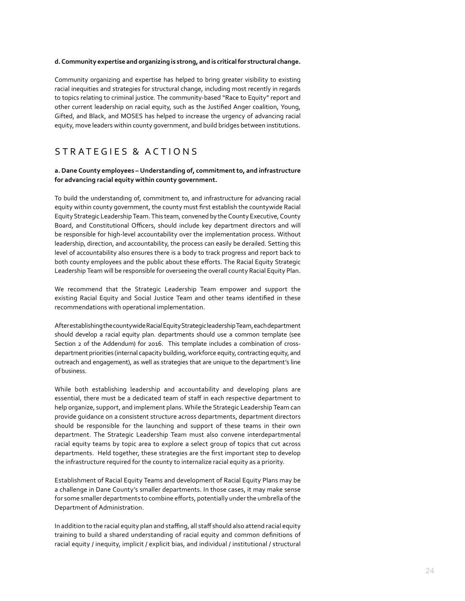#### **d. Community expertise and organizing is strong, and is critical for structural change.**

Community organizing and expertise has helped to bring greater visibility to existing racial inequities and strategies for structural change, including most recently in regards to topics relating to criminal justice. The community-based "Race to Equity" report and other current leadership on racial equity, such as the Justified Anger coalition, Young, Gifted, and Black, and MOSES has helped to increase the urgency of advancing racial equity, move leaders within county government, and build bridges between institutions.

# S T R A T E G I E S & A C T I O N S

### **a. Dane County employees – Understanding of, commitment to, and infrastructure for advancing racial equity within county government.**

To build the understanding of, commitment to, and infrastructure for advancing racial equity within county government, the county must first establish the countywide Racial Equity Strategic Leadership Team. This team, convened by the County Executive, County Board, and Constitutional Officers, should include key department directors and will be responsible for high-level accountability over the implementation process. Without leadership, direction, and accountability, the process can easily be derailed. Setting this level of accountability also ensures there is a body to track progress and report back to both county employees and the public about these efforts. The Racial Equity Strategic Leadership Team will be responsible for overseeing the overall county Racial Equity Plan.

We recommend that the Strategic Leadership Team empower and support the existing Racial Equity and Social Justice Team and other teams identified in these recommendations with operational implementation.

After establishing the countywide Racial Equity Strategic leadership Team, each department should develop a racial equity plan. departments should use a common template (see Section 2 of the Addendum) for 2016. This template includes a combination of crossdepartment priorities (internal capacity building, workforce equity, contracting equity, and outreach and engagement), as well as strategies that are unique to the department's line of business.

While both establishing leadership and accountability and developing plans are essential, there must be a dedicated team of staff in each respective department to help organize, support, and implement plans. While the Strategic Leadership Team can provide guidance on a consistent structure across departments, department directors should be responsible for the launching and support of these teams in their own department. The Strategic Leadership Team must also convene interdepartmental racial equity teams by topic area to explore a select group of topics that cut across departments. Held together, these strategies are the first important step to develop the infrastructure required for the county to internalize racial equity as a priority.

Establishment of Racial Equity Teams and development of Racial Equity Plans may be a challenge in Dane County's smaller departments. In those cases, it may make sense for some smaller departments to combine efforts, potentially under the umbrella of the Department of Administration.

In addition to the racial equity plan and staffing, all staff should also attend racial equity training to build a shared understanding of racial equity and common definitions of racial equity / inequity, implicit / explicit bias, and individual / institutional / structural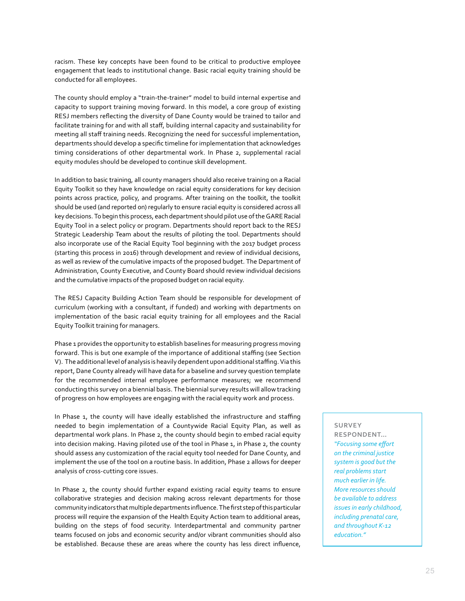racism. These key concepts have been found to be critical to productive employee engagement that leads to institutional change. Basic racial equity training should be conducted for all employees.

The county should employ a "train-the-trainer" model to build internal expertise and capacity to support training moving forward. In this model, a core group of existing RESJ members reflecting the diversity of Dane County would be trained to tailor and facilitate training for and with all staff, building internal capacity and sustainability for meeting all staff training needs. Recognizing the need for successful implementation, departments should develop a specific timeline for implementation that acknowledges timing considerations of other departmental work. In Phase 2, supplemental racial equity modules should be developed to continue skill development.

In addition to basic training, all county managers should also receive training on a Racial Equity Toolkit so they have knowledge on racial equity considerations for key decision points across practice, policy, and programs. After training on the toolkit, the toolkit should be used (and reported on) regularly to ensure racial equity is considered across all key decisions. To begin this process, each department should pilot use of the GARE Racial Equity Tool in a select policy or program. Departments should report back to the RESJ Strategic Leadership Team about the results of piloting the tool. Departments should also incorporate use of the Racial Equity Tool beginning with the 2017 budget process (starting this process in 2016) through development and review of individual decisions, as well as review of the cumulative impacts of the proposed budget. The Department of Administration, County Executive, and County Board should review individual decisions and the cumulative impacts of the proposed budget on racial equity.

The RESJ Capacity Building Action Team should be responsible for development of curriculum (working with a consultant, if funded) and working with departments on implementation of the basic racial equity training for all employees and the Racial Equity Toolkit training for managers.

Phase 1 provides the opportunity to establish baselines for measuring progress moving forward. This is but one example of the importance of additional staffing (see Section V). The additional level of analysis is heavily dependent upon additional staffing. Via this report, Dane County already will have data for a baseline and survey question template for the recommended internal employee performance measures; we recommend conducting this survey on a biennial basis. The biennial survey results will allow tracking of progress on how employees are engaging with the racial equity work and process.

In Phase 1, the county will have ideally established the infrastructure and staffing needed to begin implementation of a Countywide Racial Equity Plan, as well as departmental work plans. In Phase 2, the county should begin to embed racial equity into decision making. Having piloted use of the tool in Phase 1, in Phase 2, the county should assess any customization of the racial equity tool needed for Dane County, and implement the use of the tool on a routine basis. In addition, Phase 2 allows for deeper analysis of cross-cutting core issues.

In Phase 2, the county should further expand existing racial equity teams to ensure collaborative strategies and decision making across relevant departments for those community indicators that multiple departments influence. The first step of this particular process will require the expansion of the Health Equity Action team to additional areas, building on the steps of food security. Interdepartmental and community partner teams focused on jobs and economic security and/or vibrant communities should also be established. Because these are areas where the county has less direct influence,

## **SURVEY**

**RESPONDENT…**  *"Focusing some effort on the criminal justice system is good but the real problems start much earlier in life. More resources should be available to address issues in early childhood, including prenatal care, and throughout K-12 education."*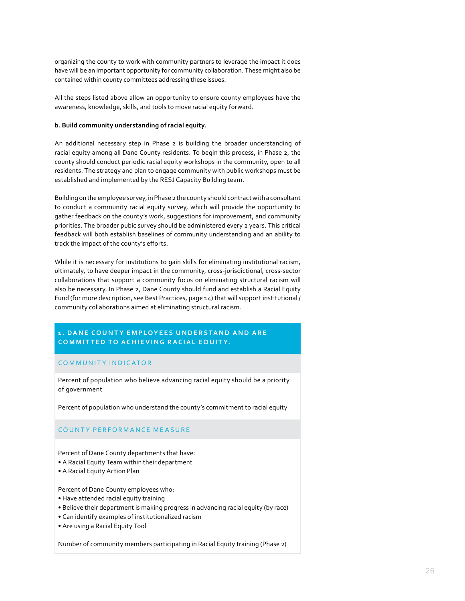organizing the county to work with community partners to leverage the impact it does have will be an important opportunity for community collaboration. These might also be contained within county committees addressing these issues.

All the steps listed above allow an opportunity to ensure county employees have the awareness, knowledge, skills, and tools to move racial equity forward.

#### **b. Build community understanding of racial equity.**

An additional necessary step in Phase 2 is building the broader understanding of racial equity among all Dane County residents. To begin this process, in Phase 2, the county should conduct periodic racial equity workshops in the community, open to all residents. The strategy and plan to engage community with public workshops must be established and implemented by the RESJ Capacity Building team.

Building on the employee survey, in Phase 2 the county should contract with a consultant to conduct a community racial equity survey, which will provide the opportunity to gather feedback on the county's work, suggestions for improvement, and community priorities. The broader pubic survey should be administered every 2 years. This critical feedback will both establish baselines of community understanding and an ability to track the impact of the county's efforts.

While it is necessary for institutions to gain skills for eliminating institutional racism, ultimately, to have deeper impact in the community, cross-jurisdictional, cross-sector collaborations that support a community focus on eliminating structural racism will also be necessary. In Phase 2, Dane County should fund and establish a Racial Equity Fund (for more description, see Best Practices, page 14) that will support institutional / community collaborations aimed at eliminating structural racism.

## **1. DANE COUNTY EMPLOYEES UNDERSTAND AND ARE COMMITTED TO ACHIEVING RACIAL EQUITY.**

## COMMUNITY INDICATOR

Percent of population who believe advancing racial equity should be a priority of government

Percent of population who understand the county's commitment to racial equity

## COUNTY PERFORMANCE MEASURE

Percent of Dane County departments that have:

- A Racial Equity Team within their department
- A Racial Equity Action Plan

Percent of Dane County employees who:

- Have attended racial equity training
- Believe their department is making progress in advancing racial equity (by race)
- Can identify examples of institutionalized racism
- Are using a Racial Equity Tool

Number of community members participating in Racial Equity training (Phase 2)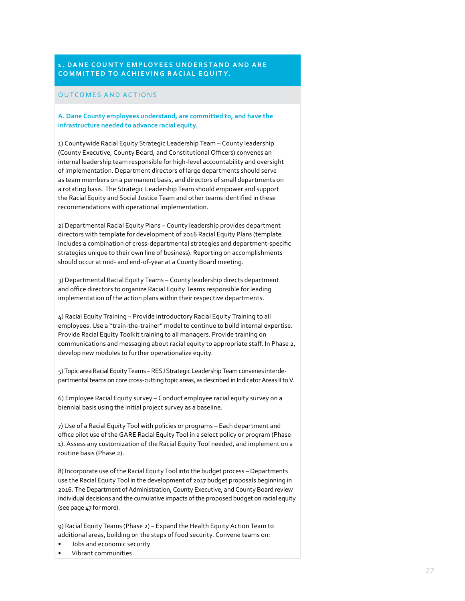## **1. DANE COUNTY EMPLOYEES UNDERSTAND AND ARE COMMITTED TO ACHIEVING RACIAL EQUITY.**

#### OUTCOMES AND ACTIONS

### **A. Dane County employees understand, are committed to, and have the infrastructure needed to advance racial equity.**

1) Countywide Racial Equity Strategic Leadership Team – County leadership (County Executive, County Board, and Constitutional Officers) convenes an internal leadership team responsible for high-level accountability and oversight of implementation. Department directors of large departments should serve as team members on a permanent basis, and directors of small departments on a rotating basis. The Strategic Leadership Team should empower and support the Racial Equity and Social Justice Team and other teams identified in these recommendations with operational implementation.

2) Departmental Racial Equity Plans – County leadership provides department directors with template for development of 2016 Racial Equity Plans (template includes a combination of cross-departmental strategies and department-specific strategies unique to their own line of business). Reporting on accomplishments should occur at mid- and end-of-year at a County Board meeting.

3) Departmental Racial Equity Teams – County leadership directs department and office directors to organize Racial Equity Teams responsible for leading implementation of the action plans within their respective departments.

4) Racial Equity Training – Provide introductory Racial Equity Training to all employees. Use a "train-the-trainer" model to continue to build internal expertise. Provide Racial Equity Toolkit training to all managers. Provide training on communications and messaging about racial equity to appropriate staff. In Phase 2, develop new modules to further operationalize equity.

5) Topic area Racial Equity Teams – RESJ Strategic Leadership Team convenes interdepartmental teams on core cross-cutting topic areas, as described in Indicator Areas II to V.

6) Employee Racial Equity survey – Conduct employee racial equity survey on a biennial basis using the initial project survey as a baseline.

7) Use of a Racial Equity Tool with policies or programs – Each department and office pilot use of the GARE Racial Equity Tool in a select policy or program (Phase 1). Assess any customization of the Racial Equity Tool needed, and implement on a routine basis (Phase 2).

8) Incorporate use of the Racial Equity Tool into the budget process – Departments use the Racial Equity Tool in the development of 2017 budget proposals beginning in 2016. The Department of Administration, County Executive, and County Board review individual decisions and the cumulative impacts of the proposed budget on racial equity (see page 47 for more).

9) Racial Equity Teams (Phase 2) – Expand the Health Equity Action Team to additional areas, building on the steps of food security. Convene teams on:

- Jobs and economic security
- Vibrant communities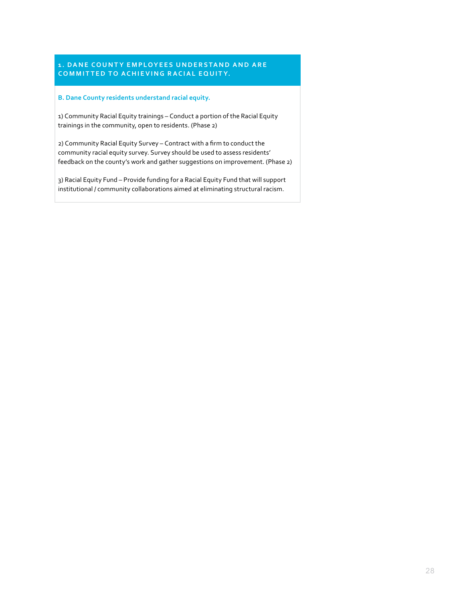## **1. DANE COUNTY EMPLOYEES UNDERSTAND AND ARE COMMITTED TO ACHIEVING RACIAL EQUITY.**

#### **B. Dane County residents understand racial equity.**

1) Community Racial Equity trainings – Conduct a portion of the Racial Equity trainings in the community, open to residents. (Phase 2)

2) Community Racial Equity Survey – Contract with a firm to conduct the community racial equity survey. Survey should be used to assess residents' feedback on the county's work and gather suggestions on improvement. (Phase 2)

3) Racial Equity Fund – Provide funding for a Racial Equity Fund that will support institutional / community collaborations aimed at eliminating structural racism.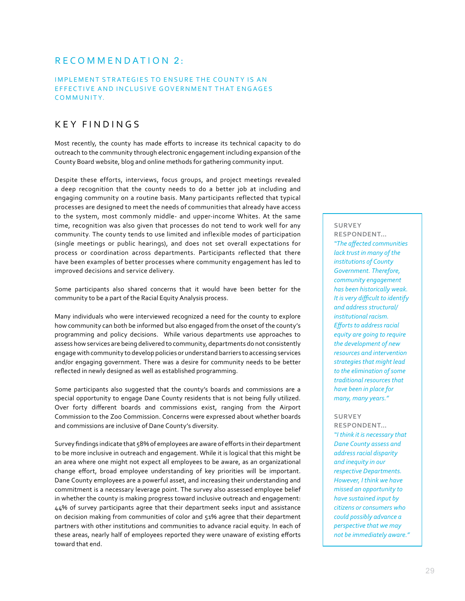# RECOMMENDATION 2:

## IMPLEMENT STRATEGIES TO ENSURE THE COUNTY IS AN EFFECTIVE AND INCLUSIVE GOVERNMENT THAT ENGAGES COMMUNITY.

# KEY FINDINGS

Most recently, the county has made efforts to increase its technical capacity to do outreach to the community through electronic engagement including expansion of the County Board website, blog and online methods for gathering community input.

Despite these efforts, interviews, focus groups, and project meetings revealed a deep recognition that the county needs to do a better job at including and engaging community on a routine basis. Many participants reflected that typical processes are designed to meet the needs of communities that already have access to the system, most commonly middle- and upper-income Whites. At the same time, recognition was also given that processes do not tend to work well for any community. The county tends to use limited and inflexible modes of participation (single meetings or public hearings), and does not set overall expectations for process or coordination across departments. Participants reflected that there have been examples of better processes where community engagement has led to improved decisions and service delivery.

Some participants also shared concerns that it would have been better for the community to be a part of the Racial Equity Analysis process.

Many individuals who were interviewed recognized a need for the county to explore how community can both be informed but also engaged from the onset of the county's programming and policy decisions. While various departments use approaches to assess how services are being delivered to community, departments do not consistently engage with community to develop policies or understand barriers to accessing services and/or engaging government. There was a desire for community needs to be better reflected in newly designed as well as established programming.

Some participants also suggested that the county's boards and commissions are a special opportunity to engage Dane County residents that is not being fully utilized. Over forty different boards and commissions exist, ranging from the Airport Commission to the Zoo Commission. Concerns were expressed about whether boards and commissions are inclusive of Dane County's diversity.

Survey findings indicate that 58% of employees are aware of efforts in their department to be more inclusive in outreach and engagement. While it is logical that this might be an area where one might not expect all employees to be aware, as an organizational change effort, broad employee understanding of key priorities will be important. Dane County employees are a powerful asset, and increasing their understanding and commitment is a necessary leverage point. The survey also assessed employee belief in whether the county is making progress toward inclusive outreach and engagement: 44% of survey participants agree that their department seeks input and assistance on decision making from communities of color and 51% agree that their department partners with other institutions and communities to advance racial equity. In each of these areas, nearly half of employees reported they were unaware of existing efforts toward that end.

## **SURVEY**

**RESPONDENT…**  *"The affected communities lack trust in many of the institutions of County Government. Therefore, community engagement has been historically weak. It is very difficult to identify and address structural/ institutional racism. Efforts to address racial equity are going to require the development of new resources and intervention strategies that might lead to the elimination of some traditional resources that have been in place for many, many years."*

#### **SURVEY**

**RESPONDENT…**  *"I think it is necessary that Dane County assess and address racial disparity and inequity in our respective Departments. However, I think we have missed an opportunity to have sustained input by citizens or consumers who could possibly advance a perspective that we may not be immediately aware."*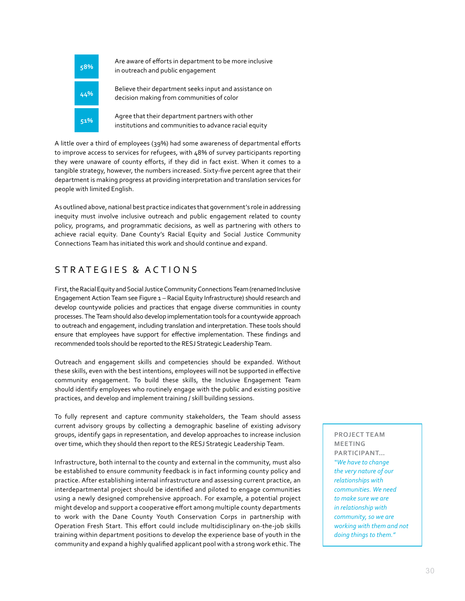

A little over a third of employees (39%) had some awareness of departmental efforts to improve access to services for refugees, with 48% of survey participants reporting they were unaware of county efforts, if they did in fact exist. When it comes to a tangible strategy, however, the numbers increased. Sixty-five percent agree that their department is making progress at providing interpretation and translation services for people with limited English.

As outlined above, national best practice indicates that government's role in addressing inequity must involve inclusive outreach and public engagement related to county policy, programs, and programmatic decisions, as well as partnering with others to achieve racial equity. Dane County's Racial Equity and Social Justice Community Connections Team has initiated this work and should continue and expand.

# STRATEGIES & ACTIONS

First, the Racial Equity and Social Justice Community Connections Team (renamed Inclusive Engagement Action Team see Figure 1 – Racial Equity Infrastructure) should research and develop countywide policies and practices that engage diverse communities in county processes. The Team should also develop implementation tools for a countywide approach to outreach and engagement, including translation and interpretation. These tools should ensure that employees have support for effective implementation. These findings and recommended tools should be reported to the RESJ Strategic Leadership Team.

Outreach and engagement skills and competencies should be expanded. Without these skills, even with the best intentions, employees will not be supported in effective community engagement. To build these skills, the Inclusive Engagement Team should identify employees who routinely engage with the public and existing positive practices, and develop and implement training / skill building sessions.

To fully represent and capture community stakeholders, the Team should assess current advisory groups by collecting a demographic baseline of existing advisory groups, identify gaps in representation, and develop approaches to increase inclusion over time, which they should then report to the RESJ Strategic Leadership Team.

Infrastructure, both internal to the county and external in the community, must also be established to ensure community feedback is in fact informing county policy and practice. After establishing internal infrastructure and assessing current practice, an interdepartmental project should be identified and piloted to engage communities using a newly designed comprehensive approach. For example, a potential project might develop and support a cooperative effort among multiple county departments to work with the Dane County Youth Conservation Corps in partnership with Operation Fresh Start. This effort could include multidisciplinary on-the-job skills training within department positions to develop the experience base of youth in the community and expand a highly qualified applicant pool with a strong work ethic. The

**PROJECT TEAM MEETING PARTICIPANT…**  *"We have to change the very nature of our relationships with communities. We need to make sure we are in relationship with community, so we are working with them and not doing things to them."*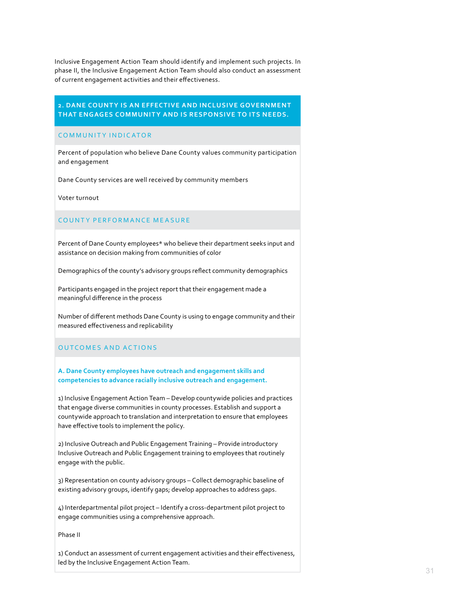Inclusive Engagement Action Team should identify and implement such projects. In phase II, the Inclusive Engagement Action Team should also conduct an assessment of current engagement activities and their effectiveness.

## **2. DANE COUNTY IS AN EFFECTIVE AND INCLUSIVE GOVERNMENT THAT ENGAGES COMMUNITY AND IS RESPONSIVE TO ITS NEEDS.**

## COMMUNITY INDICATOR

Percent of population who believe Dane County values community participation and engagement

Dane County services are well received by community members

Voter turnout

#### COUNTY PERFORMANCE MEASURE

Percent of Dane County employees\* who believe their department seeks input and assistance on decision making from communities of color

Demographics of the county's advisory groups reflect community demographics

Participants engaged in the project report that their engagement made a meaningful difference in the process

Number of different methods Dane County is using to engage community and their measured effectiveness and replicability

## OUTCOMES AND ACTIONS

## **A. Dane County employees have outreach and engagement skills and competencies to advance racially inclusive outreach and engagement.**

1) Inclusive Engagement Action Team – Develop countywide policies and practices that engage diverse communities in county processes. Establish and support a countywide approach to translation and interpretation to ensure that employees have effective tools to implement the policy.

2) Inclusive Outreach and Public Engagement Training – Provide introductory Inclusive Outreach and Public Engagement training to employees that routinely engage with the public.

3) Representation on county advisory groups – Collect demographic baseline of existing advisory groups, identify gaps; develop approaches to address gaps.

4) Interdepartmental pilot project – Identify a cross-department pilot project to engage communities using a comprehensive approach.

Phase II

1) Conduct an assessment of current engagement activities and their effectiveness, led by the Inclusive Engagement Action Team.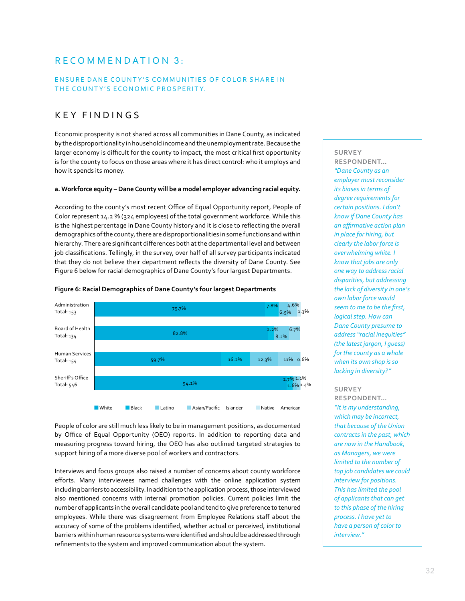# RECOMMENDATION 3:

## ENSURE DANE COUNTY'S COMMUNITIES OF COLOR SHARE IN THE COUNTY'S ECONOMIC PROSPERITY.

# KEY FINDINGS

Economic prosperity is not shared across all communities in Dane County, as indicated by the disproportionality in household income and the unemployment rate. Because the larger economy is difficult for the county to impact, the most critical first opportunity is for the county to focus on those areas where it has direct control: who it employs and how it spends its money.

## **a. Workforce equity – Dane County will be a model employer advancing racial equity.**

According to the county's most recent Office of Equal Opportunity report, People of Color represent 14.2 % (324 employees) of the total government workforce. While this is the highest percentage in Dane County history and it is close to reflecting the overall demographics of the county, there are disproportionalities in some functions and within hierarchy. There are significant differences both at the departmental level and between job classifications. Tellingly, in the survey, over half of all survey participants indicated that they do not believe their department reflects the diversity of Dane County. See Figure 6 below for racial demographics of Dane County's four largest Departments.



#### **Figure 6: Racial Demographics of Dane County's four largest Departments**

People of color are still much less likely to be in management positions, as documented by Office of Equal Opportunity (OEO) reports. In addition to reporting data and measuring progress toward hiring, the OEO has also outlined targeted strategies to support hiring of a more diverse pool of workers and contractors.

Interviews and focus groups also raised a number of concerns about county workforce efforts. Many interviewees named challenges with the online application system including barriers to accessibility. In addition to the application process, those interviewed also mentioned concerns with internal promotion policies. Current policies limit the number of applicants in the overall candidate pool and tend to give preference to tenured employees. While there was disagreement from Employee Relations staff about the accuracy of some of the problems identified, whether actual or perceived, institutional barriers within human resource systems were identified and should be addressed through refinements to the system and improved communication about the system.

#### **SURVEY RESPONDENT…**

*"Dane County as an employer must reconsider its biases in terms of degree requirements for certain positions. I don't know if Dane County has an affirmative action plan in place for hiring, but clearly the labor force is overwhelming white. I know that jobs are only one way to address racial disparities, but addressing the lack of diversity in one's own labor force would seem to me to be the first, logical step. How can Dane County presume to address "racial inequities" (the latest jargon, I guess) for the county as a whole when its own shop is so lacking in diversity?"*

#### **SURVEY**

**RESPONDENT…**  *"It is my understanding, which may be incorrect, that because of the Union contracts in the past, which are now in the Handbook, as Managers, we were limited to the number of top job candidates we could interview for positions. This has limited the pool of applicants that can get to this phase of the hiring process. I have yet to have a person of color to interview."*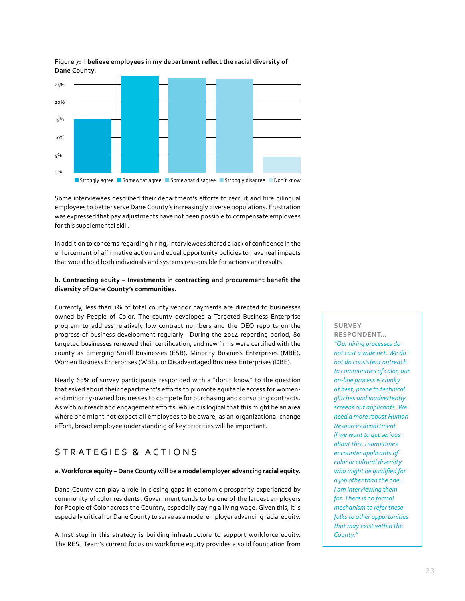

## **Figure 7: I believe employees in my department reflect the racial diversity of Dane County.**

Some interviewees described their department's efforts to recruit and hire bilingual employees to better serve Dane County's increasingly diverse populations. Frustration was expressed that pay adjustments have not been possible to compensate employees for this supplemental skill.

In addition to concerns regarding hiring, interviewees shared a lack of confidence in the enforcement of affirmative action and equal opportunity policies to have real impacts that would hold both individuals and systems responsible for actions and results.

## **b. Contracting equity – Investments in contracting and procurement benefit the diversity of Dane County's communities.**

Currently, less than 1% of total county vendor payments are directed to businesses owned by People of Color. The county developed a Targeted Business Enterprise program to address relatively low contract numbers and the OEO reports on the progress of business development regularly. During the 2014 reporting period, 80 targeted businesses renewed their certification, and new firms were certified with the county as Emerging Small Businesses (ESB), Minority Business Enterprises (MBE), Women Business Enterprises (WBE), or Disadvantaged Business Enterprises (DBE).

Nearly 60% of survey participants responded with a "don't know" to the question that asked about their department's efforts to promote equitable access for womenand minority-owned businesses to compete for purchasing and consulting contracts. As with outreach and engagement efforts, while it is logical that this might be an area where one might not expect all employees to be aware, as an organizational change effort, broad employee understanding of key priorities will be important.

# S T R A T E G I E S & A C T I O N S

## **a. Workforce equity – Dane County will be a model employer advancing racial equity.**

Dane County can play a role in closing gaps in economic prosperity experienced by community of color residents. Government tends to be one of the largest employers for People of Color across the Country, especially paying a living wage. Given this, it is especially critical for Dane County to serve as a model employer advancing racial equity.

A first step in this strategy is building infrastructure to support workforce equity. The RESJ Team's current focus on workforce equity provides a solid foundation from

## **SURVEY**

**RESPONDENT…**  *"Our hiring processes do not cast a wide net. We do not do consistent outreach to communities of color, our on-line process is clunky at best, prone to technical glitches and inadvertently screens out applicants. We need a more robust Human Resources department if we want to get serious about this. I sometimes encounter applicants of color or cultural diversity who might be qualified for a job other than the one I am interviewing them for. There is no formal mechanism to refer these folks to other opportunities that may exist within the County."*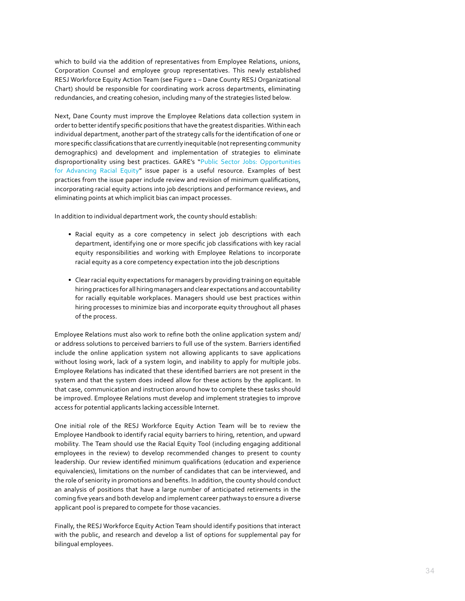which to build via the addition of representatives from Employee Relations, unions, Corporation Counsel and employee group representatives. This newly established RESJ Workforce Equity Action Team (see Figure 1 – Dane County RESJ Organizational Chart) should be responsible for coordinating work across departments, eliminating redundancies, and creating cohesion, including many of the strategies listed below.

Next, Dane County must improve the Employee Relations data collection system in order to better identify specific positions that have the greatest disparities. Within each individual department, another part of the strategy calls for the identification of one or more specific classifications that are currently inequitable (not representing community demographics) and development and implementation of strategies to eliminate disproportionality using best practices. GARE's "[Public Sector Jobs: Opportunities](http://racialequityalliance.org/newsite/wp-content/uploads/2015/02/Public-Sector-Jobs-Final1.pdf)  [for Advancing Racial Equity](http://racialequityalliance.org/newsite/wp-content/uploads/2015/02/Public-Sector-Jobs-Final1.pdf)" issue paper is a useful resource. Examples of best practices from the issue paper include review and revision of minimum qualifications, incorporating racial equity actions into job descriptions and performance reviews, and eliminating points at which implicit bias can impact processes.

In addition to individual department work, the county should establish:

- Racial equity as a core competency in select job descriptions with each department, identifying one or more specific job classifications with key racial equity responsibilities and working with Employee Relations to incorporate racial equity as a core competency expectation into the job descriptions
- Clear racial equity expectations for managers by providing training on equitable hiring practices for all hiring managers and clear expectations and accountability for racially equitable workplaces. Managers should use best practices within hiring processes to minimize bias and incorporate equity throughout all phases of the process.

Employee Relations must also work to refine both the online application system and/ or address solutions to perceived barriers to full use of the system. Barriers identified include the online application system not allowing applicants to save applications without losing work, lack of a system login, and inability to apply for multiple jobs. Employee Relations has indicated that these identified barriers are not present in the system and that the system does indeed allow for these actions by the applicant. In that case, communication and instruction around how to complete these tasks should be improved. Employee Relations must develop and implement strategies to improve access for potential applicants lacking accessible Internet.

One initial role of the RESJ Workforce Equity Action Team will be to review the Employee Handbook to identify racial equity barriers to hiring, retention, and upward mobility. The Team should use the Racial Equity Tool (including engaging additional employees in the review) to develop recommended changes to present to county leadership. Our review identified minimum qualifications (education and experience equivalencies), limitations on the number of candidates that can be interviewed, and the role of seniority in promotions and benefits. In addition, the county should conduct an analysis of positions that have a large number of anticipated retirements in the coming five years and both develop and implement career pathways to ensure a diverse applicant pool is prepared to compete for those vacancies.

Finally, the RESJ Workforce Equity Action Team should identify positions that interact with the public, and research and develop a list of options for supplemental pay for bilingual employees.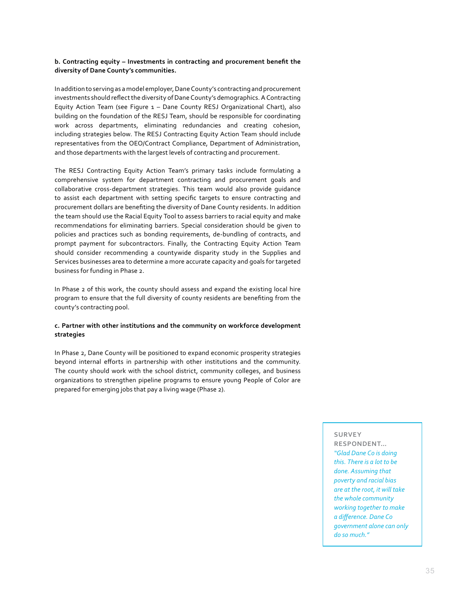## **b. Contracting equity – Investments in contracting and procurement benefit the diversity of Dane County's communities.**

In addition to serving as a model employer, Dane County's contracting and procurement investments should reflect the diversity of Dane County's demographics. A Contracting Equity Action Team (see Figure 1 – Dane County RESJ Organizational Chart), also building on the foundation of the RESJ Team, should be responsible for coordinating work across departments, eliminating redundancies and creating cohesion, including strategies below. The RESJ Contracting Equity Action Team should include representatives from the OEO/Contract Compliance, Department of Administration, and those departments with the largest levels of contracting and procurement.

The RESJ Contracting Equity Action Team's primary tasks include formulating a comprehensive system for department contracting and procurement goals and collaborative cross-department strategies. This team would also provide guidance to assist each department with setting specific targets to ensure contracting and procurement dollars are benefiting the diversity of Dane County residents. In addition the team should use the Racial Equity Tool to assess barriers to racial equity and make recommendations for eliminating barriers. Special consideration should be given to policies and practices such as bonding requirements, de-bundling of contracts, and prompt payment for subcontractors. Finally, the Contracting Equity Action Team should consider recommending a countywide disparity study in the Supplies and Services businesses area to determine a more accurate capacity and goals for targeted business for funding in Phase 2.

In Phase 2 of this work, the county should assess and expand the existing local hire program to ensure that the full diversity of county residents are benefiting from the county's contracting pool.

### **c. Partner with other institutions and the community on workforce development strategies**

In Phase 2, Dane County will be positioned to expand economic prosperity strategies beyond internal efforts in partnership with other institutions and the community. The county should work with the school district, community colleges, and business organizations to strengthen pipeline programs to ensure young People of Color are prepared for emerging jobs that pay a living wage (Phase 2).

#### **SURVEY**

**RESPONDENT…**  *"Glad Dane Co is doing this. There is a lot to be done. Assuming that poverty and racial bias are at the root, it will take the whole community working together to make a difference. Dane Co government alone can only do so much."*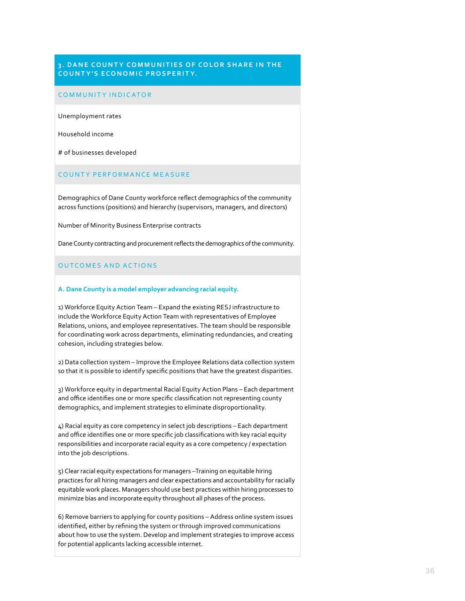## **3. DANE COUNTY COMMUNITIES OF COLOR SHARE IN THE COUNTY'S ECONOMIC PROSPERITY.**

#### COMMUNITY INDICATOR

Unemployment rates

Household income

# of businesses developed

### COUNTY PERFORMANCE MEASURE

Demographics of Dane County workforce reflect demographics of the community across functions (positions) and hierarchy (supervisors, managers, and directors)

Number of Minority Business Enterprise contracts

Dane County contracting and procurement reflects the demographics of the community.

#### OUTCOMES AND ACTIONS

#### **A. Dane County is a model employer advancing racial equity.**

1) Workforce Equity Action Team – Expand the existing RESJ infrastructure to include the Workforce Equity Action Team with representatives of Employee Relations, unions, and employee representatives. The team should be responsible for coordinating work across departments, eliminating redundancies, and creating cohesion, including strategies below.

2) Data collection system – Improve the Employee Relations data collection system so that it is possible to identify specific positions that have the greatest disparities.

3) Workforce equity in departmental Racial Equity Action Plans – Each department and office identifies one or more specific classification not representing county demographics, and implement strategies to eliminate disproportionality.

4) Racial equity as core competency in select job descriptions – Each department and office identifies one or more specific job classifications with key racial equity responsibilities and incorporate racial equity as a core competency / expectation into the job descriptions.

5) Clear racial equity expectations for managers –Training on equitable hiring practices for all hiring managers and clear expectations and accountability for racially equitable work places. Managers should use best practices within hiring processes to minimize bias and incorporate equity throughout all phases of the process.

6) Remove barriers to applying for county positions – Address online system issues identified, either by refining the system or through improved communications about how to use the system. Develop and implement strategies to improve access for potential applicants lacking accessible internet.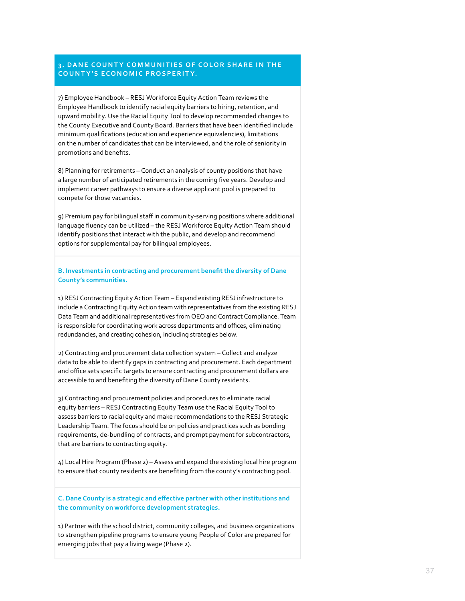## **3. DANE COUNTY COMMUNITIES OF COLOR SHARE IN THE COUNTY'S ECONOMIC PROSPERITY.**

7) Employee Handbook – RESJ Workforce Equity Action Team reviews the Employee Handbook to identify racial equity barriers to hiring, retention, and upward mobility. Use the Racial Equity Tool to develop recommended changes to the County Executive and County Board. Barriers that have been identified include minimum qualifications (education and experience equivalencies), limitations on the number of candidates that can be interviewed, and the role of seniority in promotions and benefits.

8) Planning for retirements – Conduct an analysis of county positions that have a large number of anticipated retirements in the coming five years. Develop and implement career pathways to ensure a diverse applicant pool is prepared to compete for those vacancies.

9) Premium pay for bilingual staff in community-serving positions where additional language fluency can be utilized – the RESJ Workforce Equity Action Team should identify positions that interact with the public, and develop and recommend options for supplemental pay for bilingual employees.

**B. Investments in contracting and procurement benefit the diversity of Dane County's communities.** 

1) RESJ Contracting Equity Action Team – Expand existing RESJ infrastructure to include a Contracting Equity Action team with representatives from the existing RESJ Data Team and additional representatives from OEO and Contract Compliance. Team is responsible for coordinating work across departments and offices, eliminating redundancies, and creating cohesion, including strategies below.

2) Contracting and procurement data collection system – Collect and analyze data to be able to identify gaps in contracting and procurement. Each department and office sets specific targets to ensure contracting and procurement dollars are accessible to and benefiting the diversity of Dane County residents.

3) Contracting and procurement policies and procedures to eliminate racial equity barriers – RESJ Contracting Equity Team use the Racial Equity Tool to assess barriers to racial equity and make recommendations to the RESJ Strategic Leadership Team. The focus should be on policies and practices such as bonding requirements, de-bundling of contracts, and prompt payment for subcontractors, that are barriers to contracting equity.

4) Local Hire Program (Phase 2) – Assess and expand the existing local hire program to ensure that county residents are benefiting from the county's contracting pool.

**C. Dane County is a strategic and effective partner with other institutions and the community on workforce development strategies.** 

1) Partner with the school district, community colleges, and business organizations to strengthen pipeline programs to ensure young People of Color are prepared for emerging jobs that pay a living wage (Phase 2).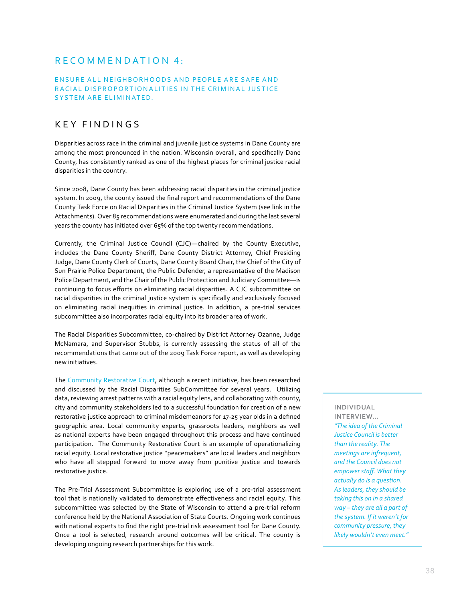# RECOMMENDATION 4 :

## ENSURE ALL NEIGHBORHOODS AND PEOPLE ARE SAFE AND RACIAL DISPROPORTIONALITIES IN THE CRIMINAL JUSTICE SYSTEM ARE ELIMINATED.

# KEY FINDINGS

Disparities across race in the criminal and juvenile justice systems in Dane County are among the most pronounced in the nation. Wisconsin overall, and specifically Dane County, has consistently ranked as one of the highest places for criminal justice racial disparities in the country.

Since 2008, Dane County has been addressing racial disparities in the criminal justice system. In 2009, the county issued the final report and recommendations of the Dane County Task Force on Racial Disparities in the Criminal Justice System (see link in the Attachments). Over 85 recommendations were enumerated and during the last several years the county has initiated over 65% of the top twenty recommendations.

Currently, the Criminal Justice Council (CJC)—chaired by the County Executive, includes the Dane County Sheriff, Dane County District Attorney, Chief Presiding Judge, Dane County Clerk of Courts, Dane County Board Chair, the Chief of the City of Sun Prairie Police Department, the Public Defender, a representative of the Madison Police Department, and the Chair of the Public Protection and Judiciary Committee—is continuing to focus efforts on eliminating racial disparities. A CJC subcommittee on racial disparities in the criminal justice system is specifically and exclusively focused on eliminating racial inequities in criminal justice. In addition, a pre-trial services subcommittee also incorporates racial equity into its broader area of work.

The Racial Disparities Subcommittee, co-chaired by District Attorney Ozanne, Judge McNamara, and Supervisor Stubbs, is currently assessing the status of all of the recommendations that came out of the 2009 Task Force report, as well as developing new initiatives.

The [Community Restorative Court](https://crc.countyofdane.com), although a recent initiative, has been researched and discussed by the Racial Disparities SubCommittee for several years. Utilizing data, reviewing arrest patterns with a racial equity lens, and collaborating with county, city and community stakeholders led to a successful foundation for creation of a new restorative justice approach to criminal misdemeanors for 17-25 year olds in a defined geographic area. Local community experts, grassroots leaders, neighbors as well as national experts have been engaged throughout this process and have continued participation. The Community Restorative Court is an example of operationalizing racial equity. Local restorative justice "peacemakers" are local leaders and neighbors who have all stepped forward to move away from punitive justice and towards restorative justice.

The Pre-Trial Assessment Subcommittee is exploring use of a pre-trial assessment tool that is nationally validated to demonstrate effectiveness and racial equity. This subcommittee was selected by the State of Wisconsin to attend a pre-trial reform conference held by the National Association of State Courts. Ongoing work continues with national experts to find the right pre-trial risk assessment tool for Dane County. Once a tool is selected, research around outcomes will be critical. The county is developing ongoing research partnerships for this work.

**INDIVIDUAL INTERVIEW…**  *"The idea of the Criminal Justice Council is better than the reality. The meetings are infrequent, and the Council does not empower staff. What they actually do is a question. As leaders, they should be taking this on in a shared way – they are all a part of the system. If it weren't for community pressure, they likely wouldn't even meet."*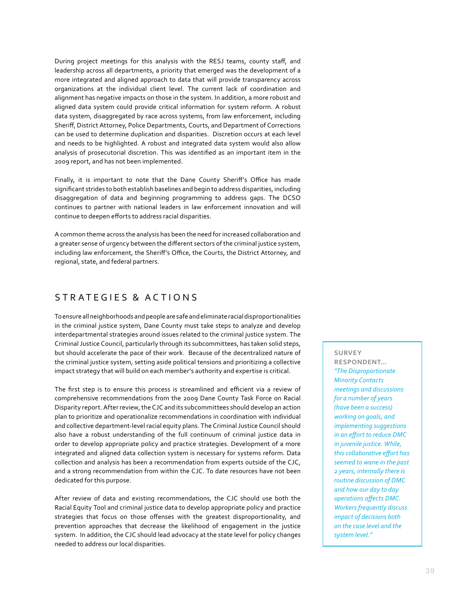During project meetings for this analysis with the RESJ teams, county staff, and leadership across all departments, a priority that emerged was the development of a more integrated and aligned approach to data that will provide transparency across organizations at the individual client level. The current lack of coordination and alignment has negative impacts on those in the system. In addition, a more robust and aligned data system could provide critical information for system reform. A robust data system, disaggregated by race across systems, from law enforcement, including Sheriff, District Attorney, Police Departments, Courts, and Department of Corrections can be used to determine duplication and disparities. Discretion occurs at each level and needs to be highlighted. A robust and integrated data system would also allow analysis of prosecutorial discretion. This was identified as an important item in the 2009 report, and has not been implemented.

Finally, it is important to note that the Dane County Sheriff's Office has made significant strides to both establish baselines and begin to address disparities, including disaggregation of data and beginning programming to address gaps. The DCSO continues to partner with national leaders in law enforcement innovation and will continue to deepen efforts to address racial disparities.

A common theme across the analysis has been the need for increased collaboration and a greater sense of urgency between the different sectors of the criminal justice system, including law enforcement, the Sheriff's Office, the Courts, the District Attorney, and regional, state, and federal partners.

# STRATEGIES & ACTIONS

To ensure all neighborhoods and people are safe and eliminate racial disproportionalities in the criminal justice system, Dane County must take steps to analyze and develop interdepartmental strategies around issues related to the criminal justice system. The Criminal Justice Council, particularly through its subcommittees, has taken solid steps, but should accelerate the pace of their work. Because of the decentralized nature of the criminal justice system, setting aside political tensions and prioritizing a collective impact strategy that will build on each member's authority and expertise is critical.

The first step is to ensure this process is streamlined and efficient via a review of comprehensive recommendations from the 2009 Dane County Task Force on Racial Disparity report. After review, the CJC and its subcommittees should develop an action plan to prioritize and operationalize recommendations in coordination with individual and collective department-level racial equity plans. The Criminal Justice Council should also have a robust understanding of the full continuum of criminal justice data in order to develop appropriate policy and practice strategies. Development of a more integrated and aligned data collection system is necessary for systems reform. Data collection and analysis has been a recommendation from experts outside of the CJC, and a strong recommendation from within the CJC. To date resources have not been dedicated for this purpose.

After review of data and existing recommendations, the CJC should use both the Racial Equity Tool and criminal justice data to develop appropriate policy and practice strategies that focus on those offenses with the greatest disproportionality, and prevention approaches that decrease the likelihood of engagement in the justice system. In addition, the CJC should lead advocacy at the state level for policy changes needed to address our local disparities.

## **SURVEY**

**RESPONDENT…**  *"The Disproportionate Minority Contacts meetings and discussions for a number of years (have been a success) working on goals, and implementing suggestions in an effort to reduce DMC in juvenile justice. While, this collaborative effort has seemed to wane in the past 2 years, internally there is routine discussion of DMC and how our day to day operations affects DMC. Workers frequently discuss impact of decisions both on the case level and the system level."*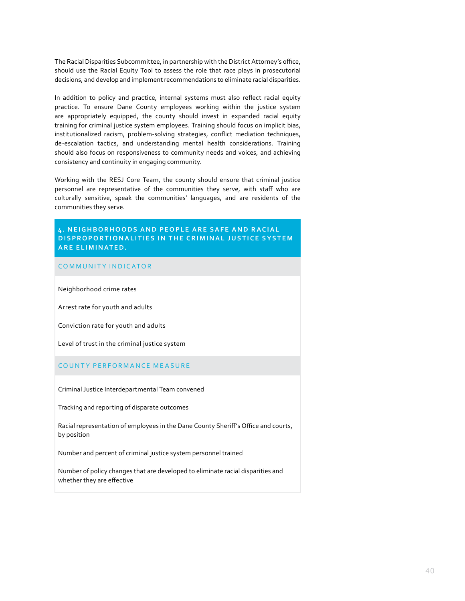The Racial Disparities Subcommittee, in partnership with the District Attorney's office, should use the Racial Equity Tool to assess the role that race plays in prosecutorial decisions, and develop and implement recommendations to eliminate racial disparities.

In addition to policy and practice, internal systems must also reflect racial equity practice. To ensure Dane County employees working within the justice system are appropriately equipped, the county should invest in expanded racial equity training for criminal justice system employees. Training should focus on implicit bias, institutionalized racism, problem-solving strategies, conflict mediation techniques, de-escalation tactics, and understanding mental health considerations. Training should also focus on responsiveness to community needs and voices, and achieving consistency and continuity in engaging community.

Working with the RESJ Core Team, the county should ensure that criminal justice personnel are representative of the communities they serve, with staff who are culturally sensitive, speak the communities' languages, and are residents of the communities they serve.

## **4. NEIGHBORHOODS AND PEOPLE ARE SAFE AND RACIAL DISPROPORTIONALITIES IN THE CRIMINAL JUSTICE SYSTEM ARE ELIMINATED.**

#### COMMUNITY INDICATOR

Neighborhood crime rates

Arrest rate for youth and adults

Conviction rate for youth and adults

Level of trust in the criminal justice system

#### COUNTY PERFORMANCE MEASURE

Criminal Justice Interdepartmental Team convened

Tracking and reporting of disparate outcomes

Racial representation of employees in the Dane County Sheriff's Office and courts, by position

Number and percent of criminal justice system personnel trained

Number of policy changes that are developed to eliminate racial disparities and whether they are effective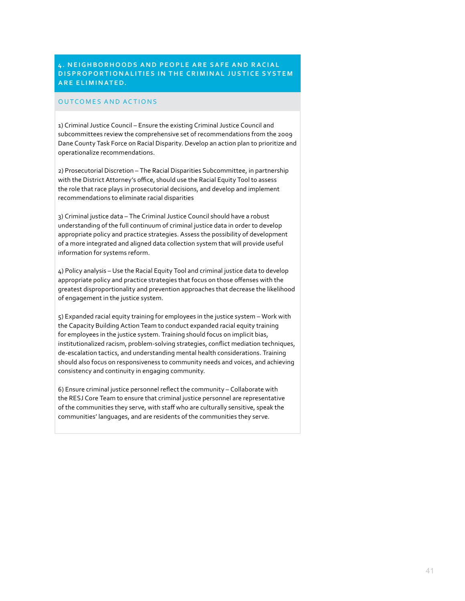## **4. NEIGHBORHOODS AND PEOPLE ARE SAFE AND RACIAL DISPROPORTIONALITIES IN THE CRIMINAL JUSTICE SYSTEM ARE ELIMINATED.**

#### OUTCOMES AND ACTIONS

1) Criminal Justice Council – Ensure the existing Criminal Justice Council and subcommittees review the comprehensive set of recommendations from the 2009 Dane County Task Force on Racial Disparity. Develop an action plan to prioritize and operationalize recommendations.

2) Prosecutorial Discretion – The Racial Disparities Subcommittee, in partnership with the District Attorney's office, should use the Racial Equity Tool to assess the role that race plays in prosecutorial decisions, and develop and implement recommendations to eliminate racial disparities

3) Criminal justice data – The Criminal Justice Council should have a robust understanding of the full continuum of criminal justice data in order to develop appropriate policy and practice strategies. Assess the possibility of development of a more integrated and aligned data collection system that will provide useful information for systems reform.

4) Policy analysis – Use the Racial Equity Tool and criminal justice data to develop appropriate policy and practice strategies that focus on those offenses with the greatest disproportionality and prevention approaches that decrease the likelihood of engagement in the justice system.

5) Expanded racial equity training for employees in the justice system – Work with the Capacity Building Action Team to conduct expanded racial equity training for employees in the justice system. Training should focus on implicit bias, institutionalized racism, problem-solving strategies, conflict mediation techniques, de-escalation tactics, and understanding mental health considerations. Training should also focus on responsiveness to community needs and voices, and achieving consistency and continuity in engaging community.

6) Ensure criminal justice personnel reflect the community – Collaborate with the RESJ Core Team to ensure that criminal justice personnel are representative of the communities they serve, with staff who are culturally sensitive, speak the communities' languages, and are residents of the communities they serve.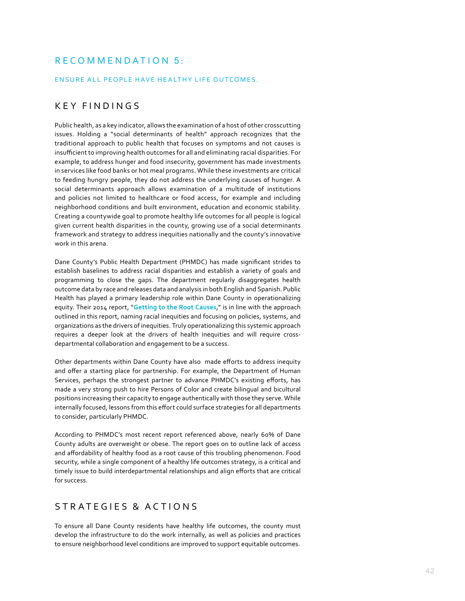# RECOMMENDATION 5:

## ENSURE ALL PEOPLE HAVE HEALTHY LIFE OUTCOMES.

# KEY FINDINGS

Public health, as a key indicator, allows the examination of a host of other crosscutting issues. Holding a "social determinants of health" approach recognizes that the traditional approach to public health that focuses on symptoms and not causes is insufficient to improving health outcomes for all and eliminating racial disparities. For example, to address hunger and food insecurity, government has made investments in services like food banks or hot meal programs. While these investments are critical to feeding hungry people, they do not address the underlying causes of hunger. A social determinants approach allows examination of a multitude of institutions and policies not limited to healthcare or food access, for example and including neighborhood conditions and built environment, education and economic stability. Creating a countywide goal to promote healthy life outcomes for all people is logical given current health disparities in the county, growing use of a social determinants framework and strategy to address inequities nationally and the county's innovative work in this arena.

Dane County's Public Health Department (PHMDC) has made significant strides to establish baselines to address racial disparities and establish a variety of goals and programming to close the gaps. The department regularly disaggregates health outcome data by race and releases data and analysis in both English and Spanish. Public Health has played a primary leadership role within Dane County in operationalizing equity. Their 2014 report, "**[Getting to the Root Causes](https://www.publichealthmdc.com/documents/NewDirections.pdf )**," is in line with the approach outlined in this report, naming racial inequities and focusing on policies, systems, and organizations as the drivers of inequities. Truly operationalizing this systemic approach requires a deeper look at the drivers of health inequities and will require crossdepartmental collaboration and engagement to be a success.

Other departments within Dane County have also made efforts to address inequity and offer a starting place for partnership. For example, the Department of Human Services, perhaps the strongest partner to advance PHMDC's existing efforts, has made a very strong push to hire Persons of Color and create bilingual and bicultural positions increasing their capacity to engage authentically with those they serve. While internally focused, lessons from this effort could surface strategies for all departments to consider, particularly PHMDC.

According to PHMDC's most recent report referenced above, nearly 60% of Dane County adults are overweight or obese. The report goes on to outline lack of access and affordability of healthy food as a root cause of this troubling phenomenon. Food security, while a single component of a healthy life outcomes strategy, is a critical and timely issue to build interdepartmental relationships and align efforts that are critical for success.

# S T R A T E G I E S & A C T I O N S

To ensure all Dane County residents have healthy life outcomes, the county must develop the infrastructure to do the work internally, as well as policies and practices to ensure neighborhood level conditions are improved to support equitable outcomes.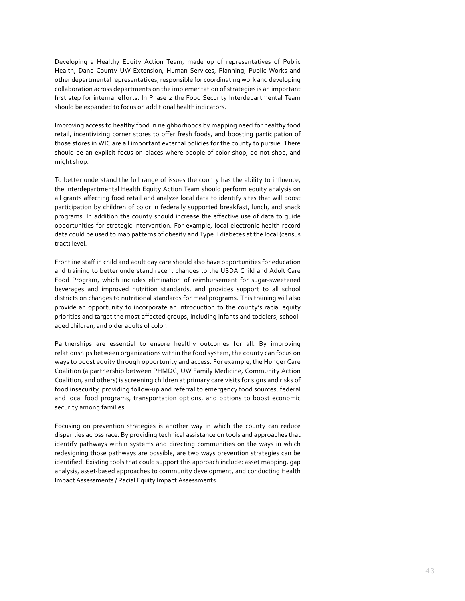Developing a Healthy Equity Action Team, made up of representatives of Public Health, Dane County UW-Extension, Human Services, Planning, Public Works and other departmental representatives, responsible for coordinating work and developing collaboration across departments on the implementation of strategies is an important first step for internal efforts. In Phase 2 the Food Security Interdepartmental Team should be expanded to focus on additional health indicators.

Improving access to healthy food in neighborhoods by mapping need for healthy food retail, incentivizing corner stores to offer fresh foods, and boosting participation of those stores in WIC are all important external policies for the county to pursue. There should be an explicit focus on places where people of color shop, do not shop, and might shop.

To better understand the full range of issues the county has the ability to influence, the interdepartmental Health Equity Action Team should perform equity analysis on all grants affecting food retail and analyze local data to identify sites that will boost participation by children of color in federally supported breakfast, lunch, and snack programs. In addition the county should increase the effective use of data to guide opportunities for strategic intervention. For example, local electronic health record data could be used to map patterns of obesity and Type II diabetes at the local (census tract) level.

Frontline staff in child and adult day care should also have opportunities for education and training to better understand recent changes to the USDA Child and Adult Care Food Program, which includes elimination of reimbursement for sugar-sweetened beverages and improved nutrition standards, and provides support to all school districts on changes to nutritional standards for meal programs. This training will also provide an opportunity to incorporate an introduction to the county's racial equity priorities and target the most affected groups, including infants and toddlers, schoolaged children, and older adults of color.

Partnerships are essential to ensure healthy outcomes for all. By improving relationships between organizations within the food system, the county can focus on ways to boost equity through opportunity and access. For example, the Hunger Care Coalition (a partnership between PHMDC, UW Family Medicine, Community Action Coalition, and others) is screening children at primary care visits for signs and risks of food insecurity, providing follow-up and referral to emergency food sources, federal and local food programs, transportation options, and options to boost economic security among families.

Focusing on prevention strategies is another way in which the county can reduce disparities across race. By providing technical assistance on tools and approaches that identify pathways within systems and directing communities on the ways in which redesigning those pathways are possible, are two ways prevention strategies can be identified. Existing tools that could support this approach include: asset mapping, gap analysis, asset-based approaches to community development, and conducting Health Impact Assessments / Racial Equity Impact Assessments.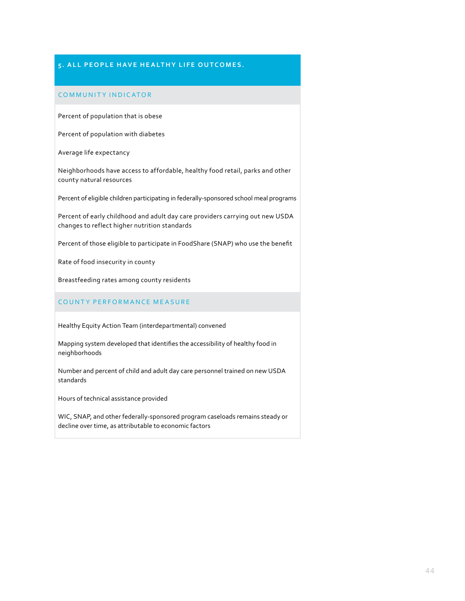## **5. ALL PEOPLE HAVE HEALTHY LIFE OUTCOMES.**

## COMMUNITY INDICATOR

Percent of population that is obese

Percent of population with diabetes

Average life expectancy

Neighborhoods have access to affordable, healthy food retail, parks and other county natural resources

Percent of eligible children participating in federally-sponsored school meal programs

Percent of early childhood and adult day care providers carrying out new USDA changes to reflect higher nutrition standards

Percent of those eligible to participate in FoodShare (SNAP) who use the benefit

Rate of food insecurity in county

Breastfeeding rates among county residents

#### COUNTY PERFORMANCE MEASURE

Healthy Equity Action Team (interdepartmental) convened

Mapping system developed that identifies the accessibility of healthy food in neighborhoods

Number and percent of child and adult day care personnel trained on new USDA standards

Hours of technical assistance provided

WIC, SNAP, and other federally-sponsored program caseloads remains steady or decline over time, as attributable to economic factors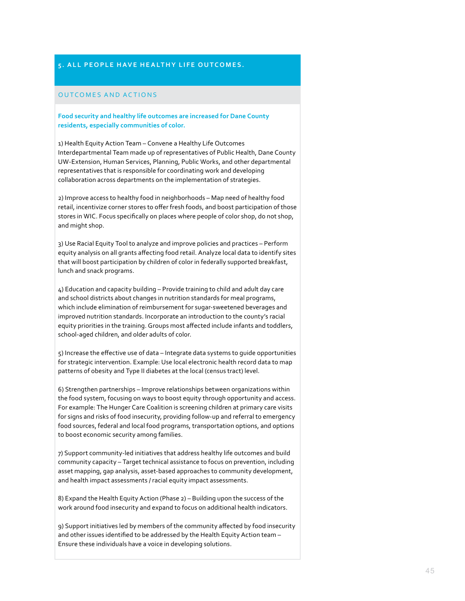## **5. ALL PEOPLE HAVE HEALTHY LIFE OUTCOMES.**

#### OUTCOMES AND ACTIONS

**Food security and healthy life outcomes are increased for Dane County residents, especially communities of color.**

1) Health Equity Action Team – Convene a Healthy Life Outcomes Interdepartmental Team made up of representatives of Public Health, Dane County UW-Extension, Human Services, Planning, Public Works, and other departmental representatives that is responsible for coordinating work and developing collaboration across departments on the implementation of strategies.

2) Improve access to healthy food in neighborhoods – Map need of healthy food retail, incentivize corner stores to offer fresh foods, and boost participation of those stores in WIC. Focus specifically on places where people of color shop, do not shop, and might shop.

3) Use Racial Equity Tool to analyze and improve policies and practices – Perform equity analysis on all grants affecting food retail. Analyze local data to identify sites that will boost participation by children of color in federally supported breakfast, lunch and snack programs.

4) Education and capacity building – Provide training to child and adult day care and school districts about changes in nutrition standards for meal programs, which include elimination of reimbursement for sugar-sweetened beverages and improved nutrition standards. Incorporate an introduction to the county's racial equity priorities in the training. Groups most affected include infants and toddlers, school-aged children, and older adults of color.

5) Increase the effective use of data – Integrate data systems to guide opportunities for strategic intervention. Example: Use local electronic health record data to map patterns of obesity and Type II diabetes at the local (census tract) level.

6) Strengthen partnerships – Improve relationships between organizations within the food system, focusing on ways to boost equity through opportunity and access. For example: The Hunger Care Coalition is screening children at primary care visits for signs and risks of food insecurity, providing follow-up and referral to emergency food sources, federal and local food programs, transportation options, and options to boost economic security among families.

7) Support community-led initiatives that address healthy life outcomes and build community capacity – Target technical assistance to focus on prevention, including asset mapping, gap analysis, asset-based approaches to community development, and health impact assessments / racial equity impact assessments.

8) Expand the Health Equity Action (Phase 2) – Building upon the success of the work around food insecurity and expand to focus on additional health indicators.

9) Support initiatives led by members of the community affected by food insecurity and other issues identified to be addressed by the Health Equity Action team – Ensure these individuals have a voice in developing solutions.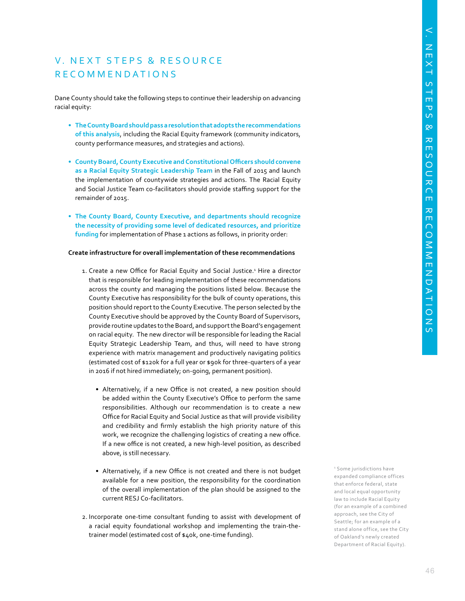# V. NEXT STEPS & RESOURCE R E C O M M E N D A T I O N S

Dane County should take the following steps to continue their leadership on advancing racial equity:

- **• The County Board should pass a resolution that adopts the recommendations of this analysis**, including the Racial Equity framework (community indicators, county performance measures, and strategies and actions).
- **• County Board, County Executive and Constitutional Officers should convene as a Racial Equity Strategic Leadership Team** in the Fall of 2015 and launch the implementation of countywide strategies and actions. The Racial Equity and Social Justice Team co-facilitators should provide staffing support for the remainder of 2015.
- **• The County Board, County Executive, and departments should recognize the necessity of providing some level of dedicated resources, and prioritize funding** for implementation of Phase 1 actions as follows, in priority order:

#### **Create infrastructure for overall implementation of these recommendations**

- 1. Create a new Office for Racial Equity and Social Justice.<sup>1</sup> Hire a director that is responsible for leading implementation of these recommendations across the county and managing the positions listed below. Because the County Executive has responsibility for the bulk of county operations, this position should report to the County Executive. The person selected by the County Executive should be approved by the County Board of Supervisors, provide routine updates to the Board, and support the Board's engagement on racial equity. The new director will be responsible for leading the Racial Equity Strategic Leadership Team, and thus, will need to have strong experience with matrix management and productively navigating politics (estimated cost of \$120k for a full year or \$90k for three-quarters of a year in 2016 if not hired immediately; on-going, permanent position).
	- Alternatively, if a new Office is not created, a new position should be added within the County Executive's Office to perform the same responsibilities. Although our recommendation is to create a new Office for Racial Equity and Social Justice as that will provide visibility and credibility and firmly establish the high priority nature of this work, we recognize the challenging logistics of creating a new office. If a new office is not created, a new high-level position, as described above, is still necessary.
	- Alternatively, if a new Office is not created and there is not budget available for a new position, the responsibility for the coordination of the overall implementation of the plan should be assigned to the current RESJ Co-facilitators.
- 2. Incorporate one-time consultant funding to assist with development of a racial equity foundational workshop and implementing the train-thetrainer model (estimated cost of \$40k, one-time funding).

1 Some jurisdictions have expanded compliance offices that enforce federal, state and local equal opportunity law to include Racial Equity (for an example of a combined approach, see the City of Seattle; for an example of a stand alone office, see the City of Oakland's newly created Department of Racial Equity).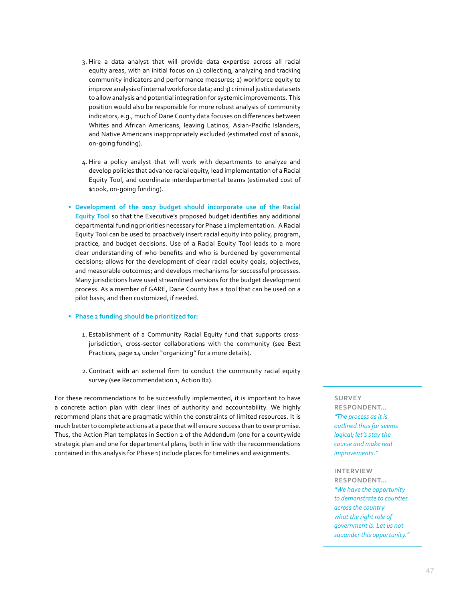- 3. Hire a data analyst that will provide data expertise across all racial equity areas, with an initial focus on 1) collecting, analyzing and tracking community indicators and performance measures; 2) workforce equity to improve analysis of internal workforce data; and 3) criminal justice data sets to allow analysis and potential integration for systemic improvements. This position would also be responsible for more robust analysis of community indicators, e.g., much of Dane County data focuses on differences between Whites and African Americans, leaving Latinos, Asian-Pacific Islanders, and Native Americans inappropriately excluded (estimated cost of \$100k, on-going funding).
- 4. Hire a policy analyst that will work with departments to analyze and develop policies that advance racial equity, lead implementation of a Racial Equity Tool, and coordinate interdepartmental teams (estimated cost of \$100k, on-going funding).
- **• Development of the 2017 budget should incorporate use of the Racial Equity Tool** so that the Executive's proposed budget identifies any additional departmental funding priorities necessary for Phase 1 implementation. A Racial Equity Tool can be used to proactively insert racial equity into policy, program, practice, and budget decisions. Use of a Racial Equity Tool leads to a more clear understanding of who benefits and who is burdened by governmental decisions; allows for the development of clear racial equity goals, objectives, and measurable outcomes; and develops mechanisms for successful processes. Many jurisdictions have used streamlined versions for the budget development process. As a member of GARE, Dane County has a tool that can be used on a pilot basis, and then customized, if needed.
- **• Phase 2 funding should be prioritized for:** 
	- 1. Establishment of a Community Racial Equity fund that supports crossjurisdiction, cross-sector collaborations with the community (see Best Practices, page 14 under "organizing" for a more details).
	- 2. Contract with an external firm to conduct the community racial equity survey (see Recommendation 1, Action B2).

For these recommendations to be successfully implemented, it is important to have a concrete action plan with clear lines of authority and accountability. We highly recommend plans that are pragmatic within the constraints of limited resources. It is much better to complete actions at a pace that will ensure success than to overpromise. Thus, the Action Plan templates in Section 2 of the Addendum (one for a countywide strategic plan and one for departmental plans, both in line with the recommendations contained in this analysis for Phase 1) include places for timelines and assignments.

#### **SURVEY**

**RESPONDENT…**  *"The process as it is outlined thus far seems logical; let's stay the course and make real improvements."*

#### **INTERVIEW**

**RESPONDENT…**  *"We have the opportunity to demonstrate to counties across the country what the right role of government is. Let us not squander this opportunity."*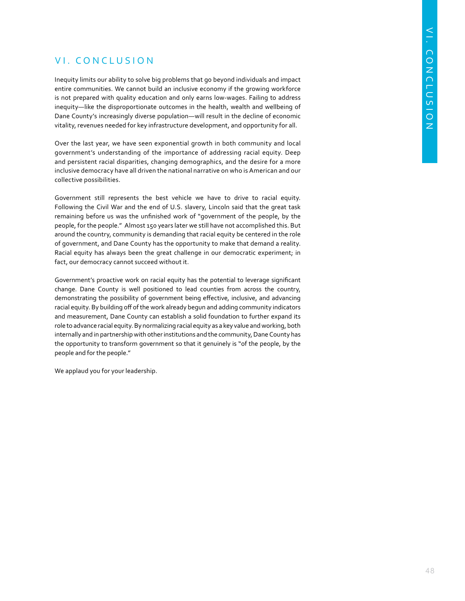# VI. CONCLUSION

Inequity limits our ability to solve big problems that go beyond individuals and impact entire communities. We cannot build an inclusive economy if the growing workforce is not prepared with quality education and only earns low-wages. Failing to address inequity—like the disproportionate outcomes in the health, wealth and wellbeing of Dane County's increasingly diverse population—will result in the decline of economic vitality, revenues needed for key infrastructure development, and opportunity for all.

Over the last year, we have seen exponential growth in both community and local government's understanding of the importance of addressing racial equity. Deep and persistent racial disparities, changing demographics, and the desire for a more inclusive democracy have all driven the national narrative on who is American and our collective possibilities.

Government still represents the best vehicle we have to drive to racial equity. Following the Civil War and the end of U.S. slavery, Lincoln said that the great task remaining before us was the unfinished work of "government of the people, by the people, for the people." Almost 150 years later we still have not accomplished this. But around the country, community is demanding that racial equity be centered in the role of government, and Dane County has the opportunity to make that demand a reality. Racial equity has always been the great challenge in our democratic experiment; in fact, our democracy cannot succeed without it.

Government's proactive work on racial equity has the potential to leverage significant change. Dane County is well positioned to lead counties from across the country, demonstrating the possibility of government being effective, inclusive, and advancing racial equity. By building off of the work already begun and adding community indicators and measurement, Dane County can establish a solid foundation to further expand its role to advance racial equity. By normalizing racial equity as a key value and working, both internally and in partnership with other institutions and the community, Dane County has the opportunity to transform government so that it genuinely is "of the people, by the people and for the people."

We applaud you for your leadership.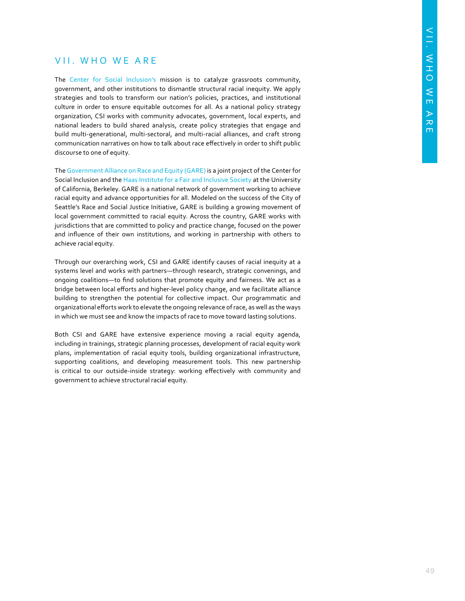# VII. WHO WE ARE

The [Center for Social Inclusion's](http://www.centerforsocialinclusion.org) mission is to catalyze grassroots community, government, and other institutions to dismantle structural racial inequity. We apply strategies and tools to transform our nation's policies, practices, and institutional culture in order to ensure equitable outcomes for all. As a national policy strategy organization, CSI works with community advocates, government, local experts, and national leaders to build shared analysis, create policy strategies that engage and build multi-generational, multi-sectoral, and multi-racial alliances, and craft strong communication narratives on how to talk about race effectively in order to shift public discourse to one of equity.

The [Government Alliance on Race and Equity \(GARE\)](http://racialequityalliance.org) is a joint project of the Center for Social Inclusion and the [Haas Institute for a Fair and Inclusive Society](http://diversity.berkeley.edu/haas-institute) at the University of California, Berkeley. GARE is a national network of government working to achieve racial equity and advance opportunities for all. Modeled on the success of the City of Seattle's Race and Social Justice Initiative, GARE is building a growing movement of local government committed to racial equity. Across the country, GARE works with jurisdictions that are committed to policy and practice change, focused on the power and influence of their own institutions, and working in partnership with others to achieve racial equity.

Through our overarching work, CSI and GARE identify causes of racial inequity at a systems level and works with partners—through research, strategic convenings, and ongoing coalitions—to find solutions that promote equity and fairness. We act as a bridge between local efforts and higher-level policy change, and we facilitate alliance building to strengthen the potential for collective impact. Our programmatic and organizational efforts work to elevate the ongoing relevance of race, as well as the ways in which we must see and know the impacts of race to move toward lasting solutions.

Both CSI and GARE have extensive experience moving a racial equity agenda, including in trainings, strategic planning processes, development of racial equity work plans, implementation of racial equity tools, building organizational infrastructure, supporting coalitions, and developing measurement tools. This new partnership is critical to our outside-inside strategy: working effectively with community and government to achieve structural racial equity.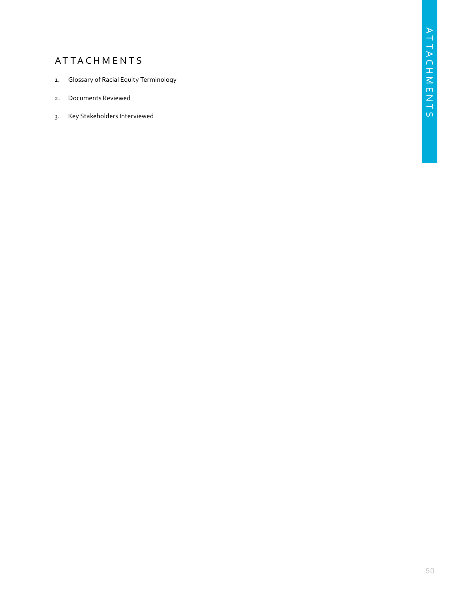# **ATTACHMENTS**

- 1. Glossary of Racial Equity Terminology
- 2. Documents Reviewed
- 3. Key Stakeholders Interviewed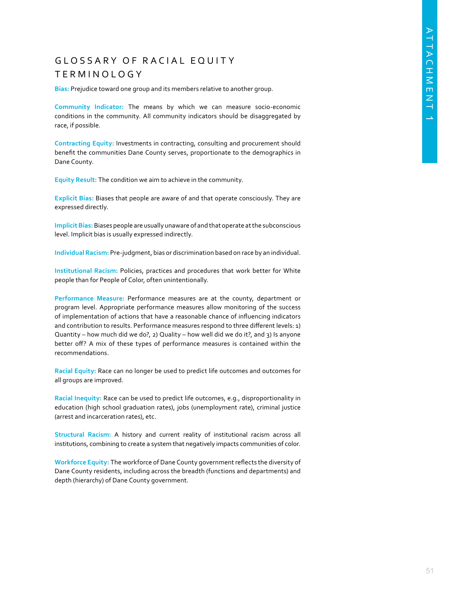# GLOSSARY OF RACIAL EQUITY T E R M I N O L O G Y

**Bias:** Prejudice toward one group and its members relative to another group.

**Community Indicator:** The means by which we can measure socio-economic conditions in the community. All community indicators should be disaggregated by race, if possible.

**Contracting Equity:** Investments in contracting, consulting and procurement should benefit the communities Dane County serves, proportionate to the demographics in Dane County.

**Equity Result:** The condition we aim to achieve in the community.

**Explicit Bias:** Biases that people are aware of and that operate consciously. They are expressed directly.

**Implicit Bias:** Biases people are usually unaware of and that operate at the subconscious level. Implicit bias is usually expressed indirectly.

**Individual Racism:** Pre-judgment, bias or discrimination based on race by an individual.

**Institutional Racism:** Policies, practices and procedures that work better for White people than for People of Color, often unintentionally.

**Performance Measure:** Performance measures are at the county, department or program level. Appropriate performance measures allow monitoring of the success of implementation of actions that have a reasonable chance of influencing indicators and contribution to results. Performance measures respond to three different levels: 1) Quantity – how much did we do?, 2) Quality – how well did we do it?, and 3) Is anyone better off? A mix of these types of performance measures is contained within the recommendations.

**Racial Equity:** Race can no longer be used to predict life outcomes and outcomes for all groups are improved.

**Racial Inequity:** Race can be used to predict life outcomes, e.g., disproportionality in education (high school graduation rates), jobs (unemployment rate), criminal justice (arrest and incarceration rates), etc.

**Structural Racism:** A history and current reality of institutional racism across all institutions, combining to create a system that negatively impacts communities of color.

**Workforce Equity:** The workforce of Dane County government reflects the diversity of Dane County residents, including across the breadth (functions and departments) and depth (hierarchy) of Dane County government.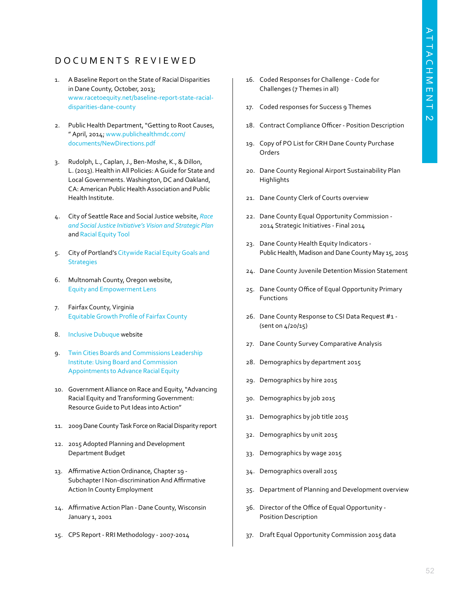# D O C U M E N T S R E V I E W E D

- 1. A Baseline Report on the State of Racial Disparities in Dane County, October, 2013; [www.racetoequity.net/baseline-report-state-racial](http://racetoequity.net/baseline-report-state-racial-disparities-dane-county/)[disparities-dane-county](http://racetoequity.net/baseline-report-state-racial-disparities-dane-county/)
- 2. Public Health Department, "Getting to Root Causes, " April, 2014; [www.publichealthmdc.com/](https://www.publichealthmdc.com/documents/NewDirections.pdf) [documents/NewDirections.pdf](https://www.publichealthmdc.com/documents/NewDirections.pdf)
- 3. Rudolph, L., Caplan, J., Ben-Moshe, K., & Dillon, L. (2013). Health in All Policies: A Guide for State and Local Governments. Washington, DC and Oakland, CA: American Public Health Association and Public Health Institute.
- 4. City of Seattle Race and Social Justice website, *[Race](http://www.seattle.gov/Documents/Departments/RSJI/rsji-2015-2017-plan.pdf)  [and Social Justice Initiative's Vision and Strategic Plan](http://www.seattle.gov/Documents/Departments/RSJI/rsji-2015-2017-plan.pdf)*  and [Racial Equity Tool](http://www.seattle.gov/Documents/Departments/RSJI/RacialEquityToolkit_FINAL_August2012.pdf)
- 5. City of Portland's [Citywide Racial Equity Goals and](https://www.portlandoregon.gov/oehr/article/537589)  **[Strategies](https://www.portlandoregon.gov/oehr/article/537589)**
- 6. Multnomah County, Oregon website, [Equity and Empowerment Lens](https://multco.us/diversity-equity/equity-and-empowerment-lens)
- 7. Fairfax County, Virginia [Equitable Growth Profile of Fairfax County](http://www.policylink.org/sites/default/files/Fairfax_Summary_16June2015_Final.pdf)
- 8. [Inclusive Dubuque](http://inclusivedbq.org/about-us/) website
- 9. [Twin Cities Boards and Commissions Leadership](http://racialequityalliance.org/2015/08/18/the-twin-cities-boards-and-commissions-leadership-institute-using-board-and-commission-appointments-to-advance-racial-equity/)  [Institute: Using Board and Commission](http://racialequityalliance.org/2015/08/18/the-twin-cities-boards-and-commissions-leadership-institute-using-board-and-commission-appointments-to-advance-racial-equity/)  [Appointments to Advance Racial Equity](http://racialequityalliance.org/2015/08/18/the-twin-cities-boards-and-commissions-leadership-institute-using-board-and-commission-appointments-to-advance-racial-equity/)
- 10. Government Alliance on Race and Equity, "Advancing Racial Equity and Transforming Government: Resource Guide to Put Ideas into Action"
- 11. 2009 Dane County Task Force on Racial Disparity report
- 12. 2015 Adopted Planning and Development Department Budget
- 13. Affirmative Action Ordinance, Chapter 19 Subchapter I Non-discrimination And Affirmative Action In County Employment
- 14. Affirmative Action Plan Dane County, Wisconsin January 1, 2001
- 15. CPS Report RRI Methodology 2007-2014
- 16. Coded Responses for Challenge Code for Challenges (7 Themes in all)
- 17. Coded responses for Success 9 Themes
- 18. Contract Compliance Officer Position Description
- 19. Copy of PO List for CRH Dane County Purchase Orders
- 20. Dane County Regional Airport Sustainability Plan **Highlights**
- 21. Dane County Clerk of Courts overview
- 22. Dane County Equal Opportunity Commission 2014 Strategic Initiatives - Final 2014
- 23. Dane County Health Equity Indicators Public Health, Madison and Dane County May 15, 2015
- 24. Dane County Juvenile Detention Mission Statement
- 25. Dane County Office of Equal Opportunity Primary Functions
- 26. Dane County Response to CSI Data Request #1 (sent on 4/20/15)
- 27. Dane County Survey Comparative Analysis
- 28. Demographics by department 2015
- 29. Demographics by hire 2015
- 30. Demographics by job 2015
- 31. Demographics by job title 2015
- 32. Demographics by unit 2015
- 33. Demographics by wage 2015
- 34. Demographics overall 2015
- 35. Department of Planning and Development overview
- 36. Director of the Office of Equal Opportunity Position Description
- 37. Draft Equal Opportunity Commission 2015 data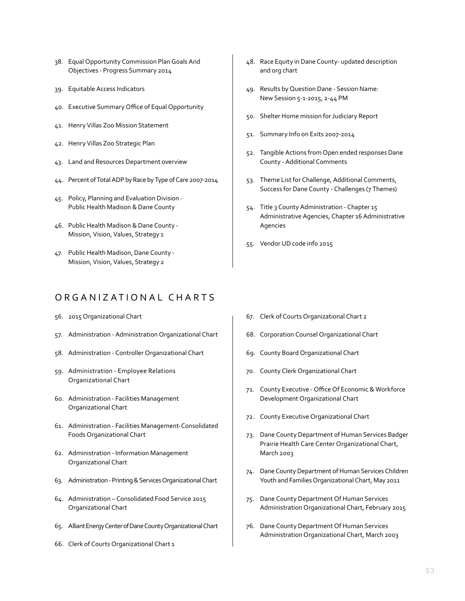- 38. Equal Opportunity Commission Plan Goals And Objectives - Progress Summary 2014
- 39. Equitable Access Indicators
- 40. Executive Summary Office of Equal Opportunity
- 41. Henry Villas Zoo Mission Statement
- 42. Henry Villas Zoo Strategic Plan
- 43. Land and Resources Department overview
- 44. Percent of Total ADP by Race by Type of Care 2007-2014
- 45. Policy, Planning and Evaluation Division Public Health Madison & Dane County
- 46. Public Health Madison & Dane County Mission, Vision, Values, Strategy 1
- 47. Public Health Madison, Dane County Mission, Vision, Values, Strategy 2

# ORGANIZATIONAL CHARTS

- 56. 2015 Organizational Chart
- 57. Administration Administration Organizational Chart
- 58. Administration Controller Organizational Chart
- 59. Administration Employee Relations Organizational Chart
- 60. Administration Facilities Management Organizational Chart
- 61. Administration Facilities Management-Consolidated Foods Organizational Chart
- 62. Administration Information Management Organizational Chart
- 63. Administration Printing & Services Organizational Chart
- 64. Administration Consolidated Food Service 2015 Organizational Chart
- 65. Alliant Energy Center of Dane County Organizational Chart
- 66. Clerk of Courts Organizational Chart 1
- 48. Race Equity in Dane County- updated description and org chart
- 49. Results by Question Dane Session Name: New Session 5-1-2015, 2-44 PM
- 50. Shelter Home mission for Judiciary Report
- 51. Summary Info on Exits 2007-2014
- 52. Tangible Actions from Open ended responses Dane County - Additional Comments
- 53. Theme List for Challenge, Additional Comments, Success for Dane County - Challenges (7 Themes)
- 54. Title 3 County Administration Chapter 15 Administrative Agencies, Chapter 16 Administrative Agencies
- 55. Vendor UD code info 2015

- 67. Clerk of Courts Organizational Chart 2
- 68. Corporation Counsel Organizational Chart
- 69. County Board Organizational Chart
- 70. County Clerk Organizational Chart
- 71. County Executive Office Of Economic & Workforce Development Organizational Chart
- 72. County Executive Organizational Chart
- 73. Dane County Department of Human Services Badger Prairie Health Care Center Organizational Chart, March 2003
- 74. Dane County Department of Human Services Children Youth and Families Organizational Chart, May 2011
- 75. Dane County Department Of Human Services Administration Organizational Chart, February 2015
- 76. Dane County Department Of Human Services Administration Organizational Chart, March 2003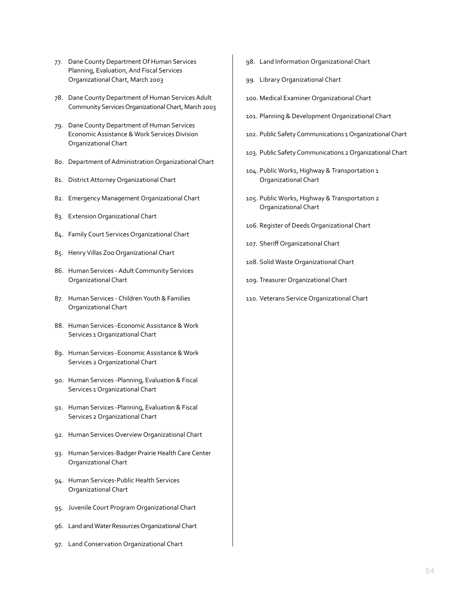- 77. Dane County Department Of Human Services Planning, Evaluation, And Fiscal Services Organizational Chart, March 2003
- 78. Dane County Department of Human Services Adult Community Services Organizational Chart, March 2003
- 79. Dane County Department of Human Services Economic Assistance & Work Services Division Organizational Chart
- 80. Department of Administration Organizational Chart
- 81. District Attorney Organizational Chart
- 82. Emergency Management Organizational Chart
- 83. Extension Organizational Chart
- 84. Family Court Services Organizational Chart
- 85. Henry Villas Zoo Organizational Chart
- 86. Human Services Adult Community Services Organizational Chart
- 87. Human Services Children Youth & Families Organizational Chart
- 88. Human Services -Economic Assistance & Work Services 1 Organizational Chart
- 89. Human Services -Economic Assistance & Work Services 2 Organizational Chart
- 90. Human Services -Planning, Evaluation & Fiscal Services 1 Organizational Chart
- 91. Human Services -Planning, Evaluation & Fiscal Services 2 Organizational Chart
- 92. Human Services Overview Organizational Chart
- 93. Human Services-Badger Prairie Health Care Center Organizational Chart
- 94. Human Services-Public Health Services Organizational Chart
- 95. Juvenile Court Program Organizational Chart
- 96. Land and Water Resources Organizational Chart
- 97. Land Conservation Organizational Chart
- 98. Land Information Organizational Chart
- 99. Library Organizational Chart
- 100. Medical Examiner Organizational Chart
- 101. Planning & Development Organizational Chart
- 102. Public Safety Communications 1 Organizational Chart
- 103. Public Safety Communications 2 Organizational Chart
- 104. Public Works, Highway & Transportation 1 Organizational Chart
- 105. Public Works, Highway & Transportation 2 Organizational Chart
- 106. Register of Deeds Organizational Chart
- 107. Sheriff Organizational Chart
- 108. Solid Waste Organizational Chart
- 109. Treasurer Organizational Chart
- 110. Veterans Service Organizational Chart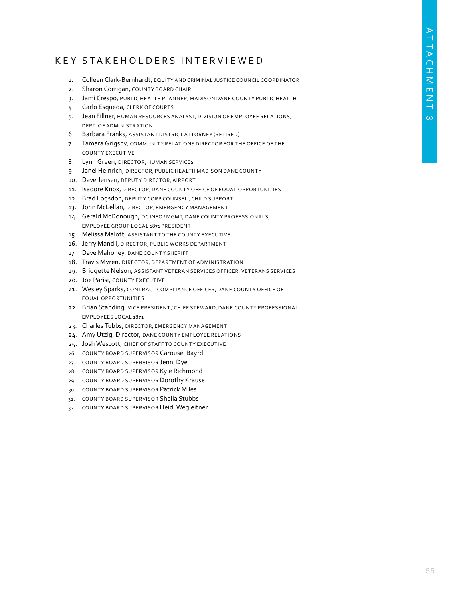# K E Y S T A K E H O L D E R S I N T E R V I E W E D

- 1. Colleen Clark-Bernhardt, EQUITY AND CRIMINAL JUSTICE COUNCIL COORDINATOR
- 2. Sharon Corrigan, COUNTY BOARD CHAIR
- 3. Jami Crespo, PUBLIC HEALTH PLANNER, MADISON DANE COUNT Y PUBLIC HEALTH
- 4. Carlo Esqueda, CLERK OF COURTS
- 5. Jean Fillner, HUMAN RESOURCES ANALYST, DIVISION OF EMPLOYEE RELATIONS, DEPT. OF ADMINISTRATION
- 6. Barbara Franks, ASSISTANT DISTRICT AT TORNEY (RETIRED)
- 7. Tamara Grigsby, COMMUNITY RELATIONS DIRECTOR FOR THE OFFICE OF THE COUNTY EXECUTIVE
- 8. Lynn Green, DIRECTOR, HUMAN SERVICES
- 9. Janel Heinrich, DIRECTOR, PUBLIC HEALTH MADISON DANE COUNTY
- 10. Dave Jensen, DEPUTY DIRECTOR, AIRPORT
- 11. Isadore Knox, DIRECTOR, DANE COUNTY OFFICE OF EQUAL OPPORTUNITIES
- 12. Brad Logsdon, DEPUTY CORP COUNSEL, CHILD SUPPORT
- 13. John McLellan, DIRECTOR, EMERGENCY MANAGEMENT
- 14. Gerald McDonough, DC INFO / MGMT, DANE COUNTY PROFESSIONALS, EMPLOYEE GROUP LOCAL 1871 PRESIDENT
- 15. Melissa Malott, ASSISTANT TO THE COUNTY EXECUTIVE
- 16. Jerry Mandli, DIRECTOR, PUBLIC WORKS DEPARTMENT
- 17. Dave Mahoney, DANE COUNTY SHERIFF
- 18. Travis Myren, DIRECTOR, DEPARTMENT OF ADMINISTRATION
- 19. Bridgette Nelson, ASSISTANT VETERAN SERVICES OFFICER, VETERANS SERVICES
- 20. Joe Parisi, COUNTY EXECUTIVE
- 21. Wesley Sparks, CONTRACT COMPLIANCE OFFICER, DANE COUNTY OFFICE OF EQUAL OPPORTUNITIES
- 22. Brian Standing, VICE PRESIDENT / CHIEF STEWARD, DANE COUNTY PROFESSIONAL EMPLOYEES LOCAL 1871
- 23. Charles Tubbs, DIRECTOR, EMERGENCY MANAGEMENT
- 24. Amy Utzig, Director, DANE COUNTY EMPLOYEE RELATIONS
- 25. Josh Wescott, CHIEF OF STAFF TO COUNTY EXECUTIVE
- 26. COUNTY BOARD SUPERVISOR Carousel Bayrd
- 27. COUNTY BOARD SUPERVISOR Jenni Dye
- 28. COUNTY BOARD SUPERVISOR Kyle Richmond
- 29. COUNTY BOARD SUPERVISOR Dorothy Krause
- 30. COUNTY BOARD SUPERVISOR Patrick Miles
- 31. COUNTY BOARD SUPERVISOR Shelia Stubbs
- 32. COUNTY BOARD SUPERVISOR Heidi Wegleitner